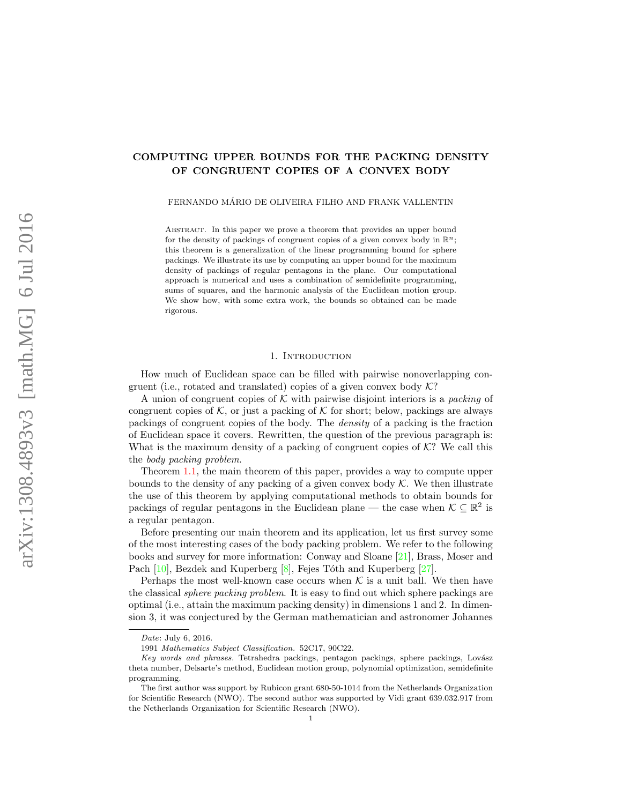# COMPUTING UPPER BOUNDS FOR THE PACKING DENSITY OF CONGRUENT COPIES OF A CONVEX BODY

FERNANDO MÁRIO DE OLIVEIRA FILHO AND FRANK VALLENTIN

Abstract. In this paper we prove a theorem that provides an upper bound for the density of packings of congruent copies of a given convex body in  $\mathbb{R}^n$ ; this theorem is a generalization of the linear programming bound for sphere packings. We illustrate its use by computing an upper bound for the maximum density of packings of regular pentagons in the plane. Our computational approach is numerical and uses a combination of semidefinite programming, sums of squares, and the harmonic analysis of the Euclidean motion group. We show how, with some extra work, the bounds so obtained can be made rigorous.

### 1. INTRODUCTION

How much of Euclidean space can be filled with pairwise nonoverlapping congruent (i.e., rotated and translated) copies of a given convex body  $K$ ?

A union of congruent copies of K with pairwise disjoint interiors is a packing of congruent copies of  $K$ , or just a packing of  $K$  for short; below, packings are always packings of congruent copies of the body. The density of a packing is the fraction of Euclidean space it covers. Rewritten, the question of the previous paragraph is: What is the maximum density of a packing of congruent copies of  $K$ ? We call this the body packing problem.

Theorem [1.1,](#page-3-0) the main theorem of this paper, provides a way to compute upper bounds to the density of any packing of a given convex body  $K$ . We then illustrate the use of this theorem by applying computational methods to obtain bounds for packings of regular pentagons in the Euclidean plane — the case when  $K \subseteq \mathbb{R}^2$  is a regular pentagon.

Before presenting our main theorem and its application, let us first survey some of the most interesting cases of the body packing problem. We refer to the following books and survey for more information: Conway and Sloane [\[21\]](#page-28-0), Brass, Moser and Pach [\[10\]](#page-27-0), Bezdek and Kuperberg [\[8\]](#page-27-1), Fejes Tóth and Kuperberg [\[27\]](#page-28-1).

Perhaps the most well-known case occurs when  $K$  is a unit ball. We then have the classical sphere packing problem. It is easy to find out which sphere packings are optimal (i.e., attain the maximum packing density) in dimensions 1 and 2. In dimension 3, it was conjectured by the German mathematician and astronomer Johannes

Date: July 6, 2016.

<sup>1991</sup> Mathematics Subject Classification. 52C17, 90C22.

Key words and phrases. Tetrahedra packings, pentagon packings, sphere packings, Lovász theta number, Delsarte's method, Euclidean motion group, polynomial optimization, semidefinite programming.

The first author was support by Rubicon grant 680-50-1014 from the Netherlands Organization for Scientific Research (NWO). The second author was supported by Vidi grant 639.032.917 from the Netherlands Organization for Scientific Research (NWO).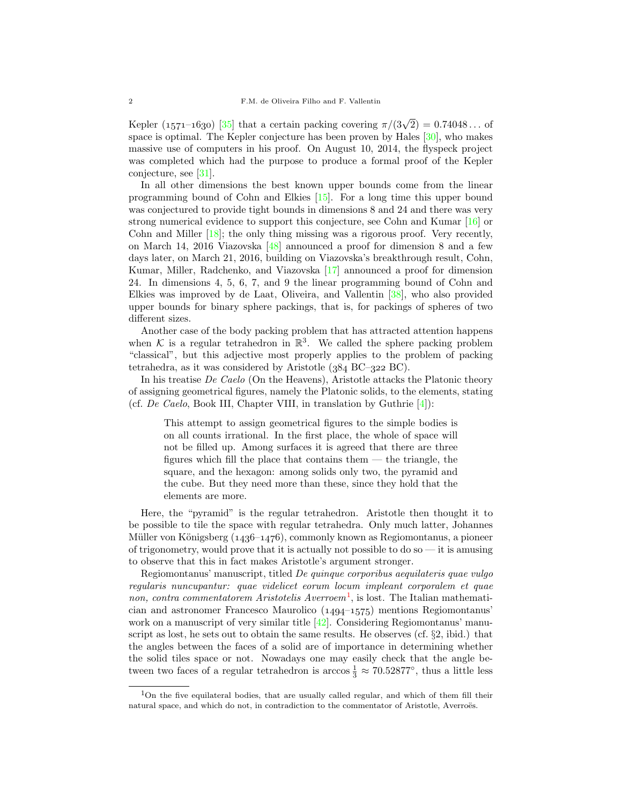Kepler (1571–1630) [\[35\]](#page-28-2) that a certain packing covering  $\pi/(3\sqrt{2}) = 0.74048...$  of space is optimal. The Kepler conjecture has been proven by Hales  $[30]$ , who makes massive use of computers in his proof. On August 10, 2014, the flyspeck project was completed which had the purpose to produce a formal proof of the Kepler conjecture, see [\[31\]](#page-28-4).

In all other dimensions the best known upper bounds come from the linear programming bound of Cohn and Elkies [\[15\]](#page-27-2). For a long time this upper bound was conjectured to provide tight bounds in dimensions 8 and 24 and there was very strong numerical evidence to support this conjecture, see Cohn and Kumar [\[16\]](#page-28-5) or Cohn and Miller [\[18\]](#page-28-6); the only thing missing was a rigorous proof. Very recently, on March 14, 2016 Viazovska [\[48\]](#page-29-0) announced a proof for dimension 8 and a few days later, on March 21, 2016, building on Viazovska's breakthrough result, Cohn, Kumar, Miller, Radchenko, and Viazovska [\[17\]](#page-28-7) announced a proof for dimension 24. In dimensions 4, 5, 6, 7, and 9 the linear programming bound of Cohn and Elkies was improved by de Laat, Oliveira, and Vallentin [\[38\]](#page-28-8), who also provided upper bounds for binary sphere packings, that is, for packings of spheres of two different sizes.

Another case of the body packing problem that has attracted attention happens when K is a regular tetrahedron in  $\mathbb{R}^3$ . We called the sphere packing problem "classical", but this adjective most properly applies to the problem of packing tetrahedra, as it was considered by Aristotle  $(384 \text{ BC}-322 \text{ BC})$ .

In his treatise De Caelo (On the Heavens), Aristotle attacks the Platonic theory of assigning geometrical figures, namely the Platonic solids, to the elements, stating (cf. De Caelo, Book III, Chapter VIII, in translation by Guthrie  $[4]$ ):

This attempt to assign geometrical figures to the simple bodies is on all counts irrational. In the first place, the whole of space will not be filled up. Among surfaces it is agreed that there are three figures which fill the place that contains them — the triangle, the square, and the hexagon: among solids only two, the pyramid and the cube. But they need more than these, since they hold that the elements are more.

Here, the "pyramid" is the regular tetrahedron. Aristotle then thought it to be possible to tile the space with regular tetrahedra. Only much latter, Johannes Müller von Königsberg  $(1436-1476)$ , commonly known as Regiomontanus, a pioneer of trigonometry, would prove that it is actually not possible to do so  $-$  it is amusing to observe that this in fact makes Aristotle's argument stronger.

Regiomontanus' manuscript, titled De quinque corporibus aequilateris quae vulgo regularis nuncupantur: quae videlicet eorum locum impleant corporalem et quae non, contra commentatorem Aristotelis Averroem<sup>[1](#page-1-0)</sup>, is lost. The Italian mathematician and astronomer Francesco Maurolico  $(1494-1575)$  mentions Regiomontanus' work on a manuscript of very similar title [\[42\]](#page-29-1). Considering Regiomontanus' manuscript as lost, he sets out to obtain the same results. He observes (cf. §2, ibid.) that the angles between the faces of a solid are of importance in determining whether the solid tiles space or not. Nowadays one may easily check that the angle between two faces of a regular tetrahedron is arccos  $\frac{1}{3} \approx 70.52877^{\circ}$ , thus a little less

<span id="page-1-0"></span><sup>&</sup>lt;sup>1</sup>On the five equilateral bodies, that are usually called regular, and which of them fill their natural space, and which do not, in contradiction to the commentator of Aristotle, Averroës.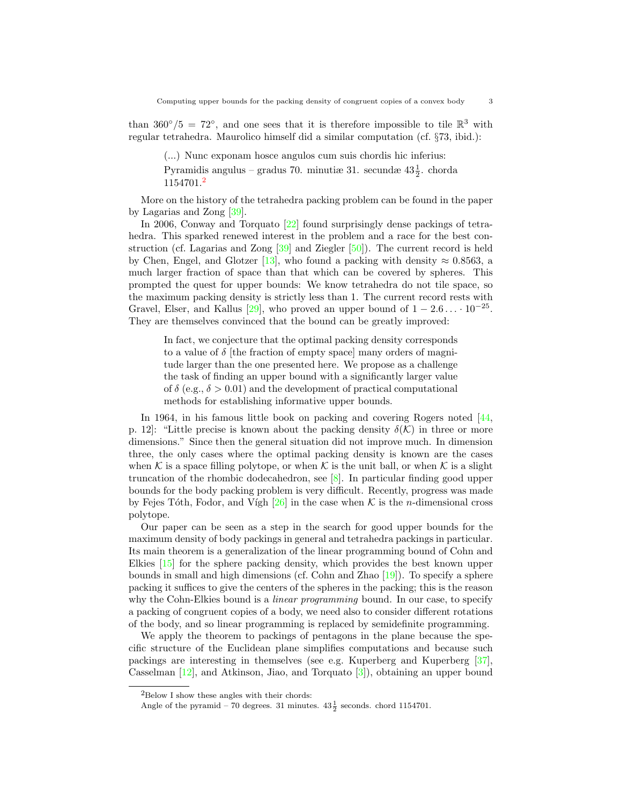than  $360^{\circ}/5 = 72^{\circ}$ , and one sees that it is therefore impossible to tile  $\mathbb{R}^{3}$  with regular tetrahedra. Maurolico himself did a similar computation (cf. §73, ibid.):

(...) Nunc exponam hosce angulos cum suis chordis hic inferius:

Pyramidis angulus – gradus 70. minutiæ 31. secundæ  $43\frac{1}{2}$ . chorda 1154701.[2](#page-2-0)

More on the history of the tetrahedra packing problem can be found in the paper by Lagarias and Zong [\[39\]](#page-28-9).

In 2006, Conway and Torquato [\[22\]](#page-28-10) found surprisingly dense packings of tetrahedra. This sparked renewed interest in the problem and a race for the best construction (cf. Lagarias and Zong [\[39\]](#page-28-9) and Ziegler [\[50\]](#page-29-2)). The current record is held by Chen, Engel, and Glotzer [\[13\]](#page-27-4), who found a packing with density  $\approx 0.8563$ , a much larger fraction of space than that which can be covered by spheres. This prompted the quest for upper bounds: We know tetrahedra do not tile space, so the maximum packing density is strictly less than 1. The current record rests with Gravel, Elser, and Kallus [\[29\]](#page-28-11), who proved an upper bound of  $1 - 2.6 \ldots 10^{-25}$ . They are themselves convinced that the bound can be greatly improved:

In fact, we conjecture that the optimal packing density corresponds to a value of  $\delta$  [the fraction of empty space] many orders of magnitude larger than the one presented here. We propose as a challenge the task of finding an upper bound with a significantly larger value of  $\delta$  (e.g.,  $\delta > 0.01$ ) and the development of practical computational methods for establishing informative upper bounds.

In 1964, in his famous little book on packing and covering Rogers noted [\[44,](#page-29-3)] p. 12]: "Little precise is known about the packing density  $\delta(\mathcal{K})$  in three or more dimensions." Since then the general situation did not improve much. In dimension three, the only cases where the optimal packing density is known are the cases when K is a space filling polytope, or when K is the unit ball, or when K is a slight truncation of the rhombic dodecahedron, see [\[8\]](#page-27-1). In particular finding good upper bounds for the body packing problem is very difficult. Recently, progress was made by Fejes Tóth, Fodor, and Vígh  $[26]$  in the case when K is the *n*-dimensional cross polytope.

Our paper can be seen as a step in the search for good upper bounds for the maximum density of body packings in general and tetrahedra packings in particular. Its main theorem is a generalization of the linear programming bound of Cohn and Elkies [\[15\]](#page-27-2) for the sphere packing density, which provides the best known upper bounds in small and high dimensions (cf. Cohn and Zhao  $[19]$ ). To specify a sphere packing it suffices to give the centers of the spheres in the packing; this is the reason why the Cohn-Elkies bound is a *linear programming* bound. In our case, to specify a packing of congruent copies of a body, we need also to consider different rotations of the body, and so linear programming is replaced by semidefinite programming.

We apply the theorem to packings of pentagons in the plane because the specific structure of the Euclidean plane simplifies computations and because such packings are interesting in themselves (see e.g. Kuperberg and Kuperberg [\[37\]](#page-28-14), Casselman [\[12\]](#page-27-5), and Atkinson, Jiao, and Torquato [\[3\]](#page-27-6)), obtaining an upper bound

<span id="page-2-0"></span> ${}^{2}\mathrm{Below}$  I show these angles with their chords:

Angle of the pyramid – 70 degrees. 31 minutes.  $43\frac{1}{2}$  seconds. chord 1154701.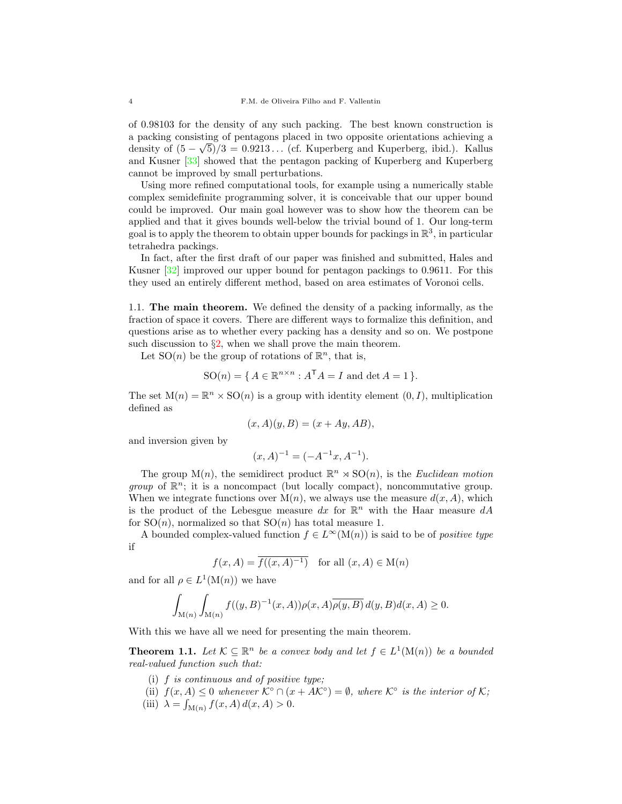of 0.98103 for the density of any such packing. The best known construction is a packing consisting of pentagons placed in two opposite orientations achieving a density of  $(5 - \sqrt{5})/3 = 0.9213...$  (cf. Kuperberg and Kuperberg, ibid.). Kallus and Kusner [\[33\]](#page-28-15) showed that the pentagon packing of Kuperberg and Kuperberg cannot be improved by small perturbations.

Using more refined computational tools, for example using a numerically stable complex semidefinite programming solver, it is conceivable that our upper bound could be improved. Our main goal however was to show how the theorem can be applied and that it gives bounds well-below the trivial bound of 1. Our long-term goal is to apply the theorem to obtain upper bounds for packings in  $\mathbb{R}^3$ , in particular tetrahedra packings.

In fact, after the first draft of our paper was finished and submitted, Hales and Kusner [\[32\]](#page-28-16) improved our upper bound for pentagon packings to 0.9611. For this they used an entirely different method, based on area estimates of Voronoi cells.

1.1. The main theorem. We defined the density of a packing informally, as the fraction of space it covers. There are different ways to formalize this definition, and questions arise as to whether every packing has a density and so on. We postpone such discussion to  $\S2$ , when we shall prove the main theorem.

Let  $SO(n)$  be the group of rotations of  $\mathbb{R}^n$ , that is,

$$
SO(n) = \{ A \in \mathbb{R}^{n \times n} : A^{\mathsf{T}} A = I \text{ and } \det A = 1 \}.
$$

The set  $M(n) = \mathbb{R}^n \times SO(n)$  is a group with identity element  $(0, I)$ , multiplication defined as

$$
(x, A)(y, B) = (x + Ay, AB),
$$

and inversion given by

$$
(x,A)^{-1} = (-A^{-1}x, A^{-1}).
$$

The group  $M(n)$ , the semidirect product  $\mathbb{R}^n \times SO(n)$ , is the *Euclidean motion* group of  $\mathbb{R}^n$ ; it is a noncompact (but locally compact), noncommutative group. When we integrate functions over  $M(n)$ , we always use the measure  $d(x, A)$ , which is the product of the Lebesgue measure  $dx$  for  $\mathbb{R}^n$  with the Haar measure  $dA$ for  $SO(n)$ , normalized so that  $SO(n)$  has total measure 1.

A bounded complex-valued function  $f \in L^{\infty}(\mathcal{M}(n))$  is said to be of *positive type* if

$$
f(x, A) = \overline{f((x, A)^{-1})}
$$
 for all  $(x, A) \in M(n)$ 

and for all  $\rho \in L^1(\mathcal{M}(n))$  we have

$$
\int_{\mathcal{M}(n)} \int_{\mathcal{M}(n)} f((y, B)^{-1}(x, A)) \rho(x, A) \overline{\rho(y, B)} d(y, B) d(x, A) \ge 0.
$$

With this we have all we need for presenting the main theorem.

<span id="page-3-0"></span>**Theorem 1.1.** Let  $K \subseteq \mathbb{R}^n$  be a convex body and let  $f \in L^1(\mathcal{M}(n))$  be a bounded real-valued function such that:

- (i) f is continuous and of positive type;
- (ii)  $f(x, A) \leq 0$  whenever  $\mathcal{K}^{\circ} \cap (x + A\mathcal{K}^{\circ}) = \emptyset$ , where  $\mathcal{K}^{\circ}$  is the interior of  $\mathcal{K}$ ;
- (iii)  $\lambda = \int_{M(n)} f(x, A) d(x, A) > 0.$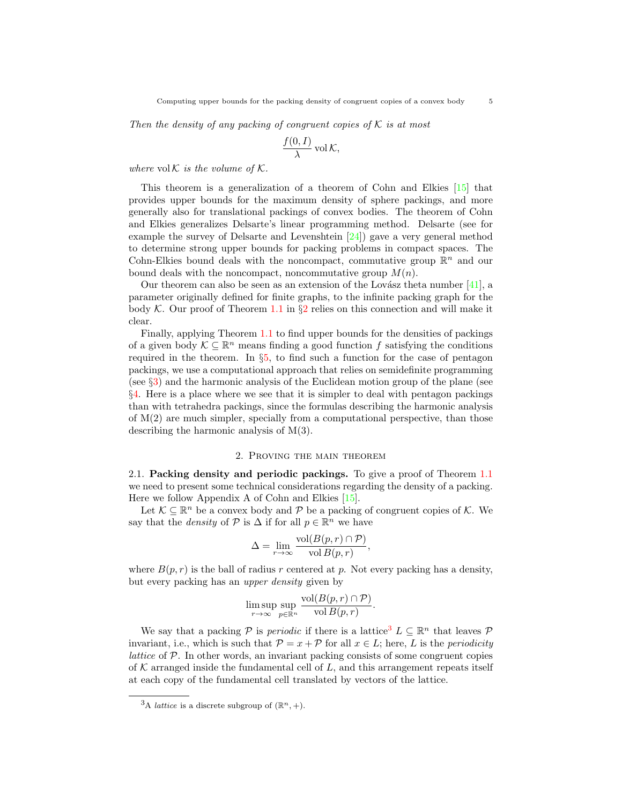Then the density of any packing of congruent copies of  $K$  is at most

$$
\frac{f(0,I)}{\lambda} \operatorname{vol} \mathcal{K},
$$

where  $vol \mathcal{K}$  is the volume of  $\mathcal{K}$ .

This theorem is a generalization of a theorem of Cohn and Elkies [\[15\]](#page-27-2) that provides upper bounds for the maximum density of sphere packings, and more generally also for translational packings of convex bodies. The theorem of Cohn and Elkies generalizes Delsarte's linear programming method. Delsarte (see for example the survey of Delsarte and Levenshtein [\[24\]](#page-28-17)) gave a very general method to determine strong upper bounds for packing problems in compact spaces. The Cohn-Elkies bound deals with the noncompact, commutative group  $\mathbb{R}^n$  and our bound deals with the noncompact, noncommutative group  $M(n)$ .

Our theorem can also be seen as an extension of the Lovász theta number  $[41]$ , a parameter originally defined for finite graphs, to the infinite packing graph for the body K. Our proof of Theorem [1.1](#page-3-0) in  $\S2$  $\S2$  relies on this connection and will make it clear.

Finally, applying Theorem [1.1](#page-3-0) to find upper bounds for the densities of packings of a given body  $\mathcal{K} \subseteq \mathbb{R}^n$  means finding a good function f satisfying the conditions required in the theorem. In §[5,](#page-15-0) to find such a function for the case of pentagon packings, we use a computational approach that relies on semidefinite programming (see §[3\)](#page-11-0) and the harmonic analysis of the Euclidean motion group of the plane (see §[4.](#page-12-0) Here is a place where we see that it is simpler to deal with pentagon packings than with tetrahedra packings, since the formulas describing the harmonic analysis of  $M(2)$  are much simpler, specially from a computational perspective, than those describing the harmonic analysis of M(3).

### 2. Proving the main theorem

<span id="page-4-0"></span>2.1. Packing density and periodic packings. To give a proof of Theorem [1.1](#page-3-0) we need to present some technical considerations regarding the density of a packing. Here we follow Appendix A of Cohn and Elkies [\[15\]](#page-27-2).

Let  $\mathcal{K} \subseteq \mathbb{R}^n$  be a convex body and  $\mathcal{P}$  be a packing of congruent copies of  $\mathcal{K}$ . We say that the *density* of  $P$  is  $\Delta$  if for all  $p \in \mathbb{R}^n$  we have

$$
\Delta = \lim_{r \to \infty} \frac{\text{vol}(B(p, r) \cap \mathcal{P})}{\text{vol } B(p, r)},
$$

where  $B(p, r)$  is the ball of radius r centered at p. Not every packing has a density, but every packing has an upper density given by

$$
\limsup_{r \to \infty} \sup_{p \in \mathbb{R}^n} \frac{\text{vol}(B(p, r) \cap \mathcal{P})}{\text{vol } B(p, r)}
$$

.

We say that a packing  $P$  is *periodic* if there is a lattice<sup>[3](#page-4-1)</sup>  $L \subseteq \mathbb{R}^n$  that leaves  $P$ invariant, i.e., which is such that  $\mathcal{P} = x + \mathcal{P}$  for all  $x \in L$ ; here, L is the *periodicity lattice* of  $\mathcal{P}$ . In other words, an invariant packing consists of some congruent copies of  $K$  arranged inside the fundamental cell of  $L$ , and this arrangement repeats itself at each copy of the fundamental cell translated by vectors of the lattice.

<span id="page-4-1"></span><sup>&</sup>lt;sup>3</sup>A *lattice* is a discrete subgroup of  $(\mathbb{R}^n, +)$ .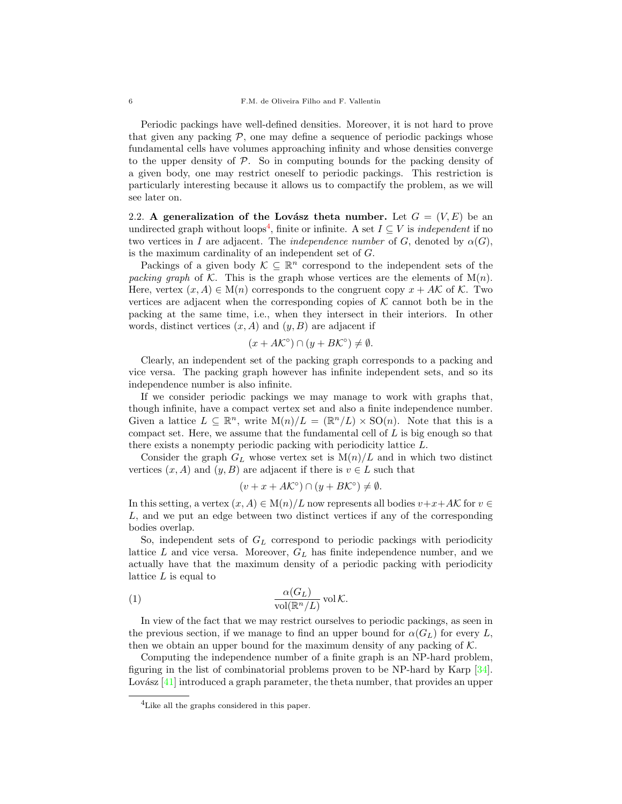Periodic packings have well-defined densities. Moreover, it is not hard to prove that given any packing  $P$ , one may define a sequence of periodic packings whose fundamental cells have volumes approaching infinity and whose densities converge to the upper density of  $P$ . So in computing bounds for the packing density of a given body, one may restrict oneself to periodic packings. This restriction is particularly interesting because it allows us to compactify the problem, as we will see later on.

<span id="page-5-2"></span>2.2. A generalization of the Lovász theta number. Let  $G = (V, E)$  be an undirected graph without loops<sup>[4](#page-5-0)</sup>, finite or infinite. A set  $I \subseteq V$  is *independent* if no two vertices in I are adjacent. The *independence number* of G, denoted by  $\alpha(G)$ , is the maximum cardinality of an independent set of G.

Packings of a given body  $\mathcal{K} \subseteq \mathbb{R}^n$  correspond to the independent sets of the packing graph of K. This is the graph whose vertices are the elements of  $M(n)$ . Here, vertex  $(x, A) \in M(n)$  corresponds to the congruent copy  $x + AK$  of K. Two vertices are adjacent when the corresponding copies of  $K$  cannot both be in the packing at the same time, i.e., when they intersect in their interiors. In other words, distinct vertices  $(x, A)$  and  $(y, B)$  are adjacent if

$$
(x + A\mathcal{K}^{\circ}) \cap (y + B\mathcal{K}^{\circ}) \neq \emptyset.
$$

Clearly, an independent set of the packing graph corresponds to a packing and vice versa. The packing graph however has infinite independent sets, and so its independence number is also infinite.

If we consider periodic packings we may manage to work with graphs that, though infinite, have a compact vertex set and also a finite independence number. Given a lattice  $L \subseteq \mathbb{R}^n$ , write  $M(n)/L = (\mathbb{R}^n/L) \times SO(n)$ . Note that this is a compact set. Here, we assume that the fundamental cell of  $L$  is big enough so that there exists a nonempty periodic packing with periodicity lattice L.

Consider the graph  $G_L$  whose vertex set is  $M(n)/L$  and in which two distinct vertices  $(x, A)$  and  $(y, B)$  are adjacent if there is  $v \in L$  such that

<span id="page-5-1"></span>
$$
(v + x + A\mathcal{K}^{\circ}) \cap (y + B\mathcal{K}^{\circ}) \neq \emptyset.
$$

In this setting, a vertex  $(x, A) \in M(n)/L$  now represents all bodies  $v+x+A\mathcal{K}$  for  $v \in$ L, and we put an edge between two distinct vertices if any of the corresponding bodies overlap.

So, independent sets of  $G<sub>L</sub>$  correspond to periodic packings with periodicity lattice  $L$  and vice versa. Moreover,  $G_L$  has finite independence number, and we actually have that the maximum density of a periodic packing with periodicity lattice  $L$  is equal to

(1) 
$$
\frac{\alpha(G_L)}{\text{vol}(\mathbb{R}^n/L)} \text{vol }\mathcal{K}.
$$

In view of the fact that we may restrict ourselves to periodic packings, as seen in the previous section, if we manage to find an upper bound for  $\alpha(G_L)$  for every L, then we obtain an upper bound for the maximum density of any packing of  $K$ .

Computing the independence number of a finite graph is an NP-hard problem, figuring in the list of combinatorial problems proven to be NP-hard by Karp [\[34\]](#page-28-18). Lovász  $[41]$  introduced a graph parameter, the theta number, that provides an upper

<span id="page-5-0"></span><sup>&</sup>lt;sup>4</sup>Like all the graphs considered in this paper.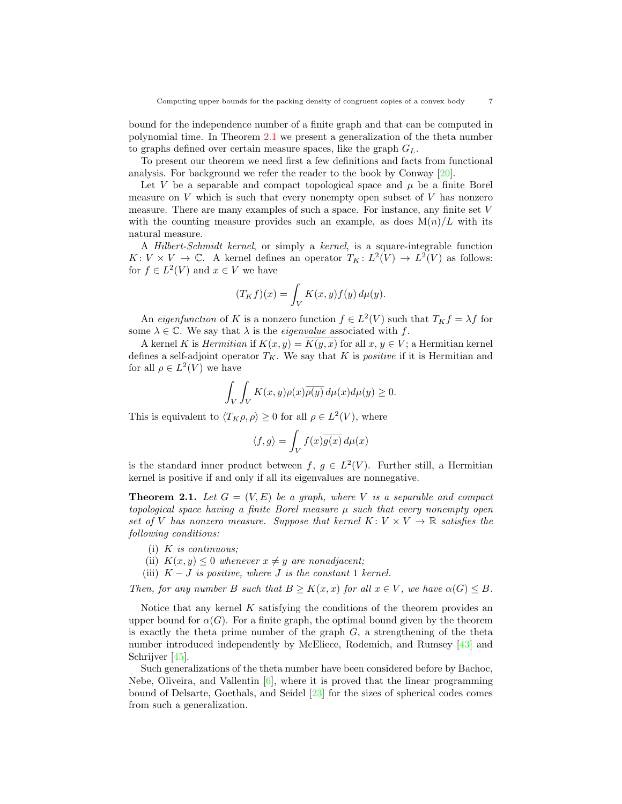bound for the independence number of a finite graph and that can be computed in polynomial time. In Theorem [2.1](#page-6-0) we present a generalization of the theta number to graphs defined over certain measure spaces, like the graph  $G_L$ .

To present our theorem we need first a few definitions and facts from functional analysis. For background we refer the reader to the book by Conway [\[20\]](#page-28-19).

Let V be a separable and compact topological space and  $\mu$  be a finite Borel measure on  $V$  which is such that every nonempty open subset of  $V$  has nonzero measure. There are many examples of such a space. For instance, any finite set V with the counting measure provides such an example, as does  $M(n)/L$  with its natural measure.

A Hilbert-Schmidt kernel, or simply a kernel, is a square-integrable function  $K: V \times V \to \mathbb{C}$ . A kernel defines an operator  $T_K: L^2(V) \to L^2(V)$  as follows: for  $f \in L^2(V)$  and  $x \in V$  we have

$$
(T_K f)(x) = \int_V K(x, y) f(y) d\mu(y).
$$

An *eigenfunction* of K is a nonzero function  $f \in L^2(V)$  such that  $T_K f = \lambda f$  for some  $\lambda \in \mathbb{C}$ . We say that  $\lambda$  is the *eigenvalue* associated with f.

A kernel K is *Hermitian* if  $K(x, y) = K(y, x)$  for all  $x, y \in V$ ; a Hermitian kernel defines a self-adjoint operator  $T_K$ . We say that K is *positive* if it is Hermitian and for all  $\rho \in L^2(V)$  we have

$$
\int_{V} \int_{V} K(x, y) \rho(x) \overline{\rho(y)} d\mu(x) d\mu(y) \ge 0.
$$

This is equivalent to  $\langle T_K \rho, \rho \rangle \ge 0$  for all  $\rho \in L^2(V)$ , where

$$
\langle f, g \rangle = \int_V f(x) \overline{g(x)} \, d\mu(x)
$$

is the standard inner product between f,  $g \in L^2(V)$ . Further still, a Hermitian kernel is positive if and only if all its eigenvalues are nonnegative.

<span id="page-6-0"></span>**Theorem 2.1.** Let  $G = (V, E)$  be a graph, where V is a separable and compact topological space having a finite Borel measure  $\mu$  such that every nonempty open set of V has nonzero measure. Suppose that kernel  $K: V \times V \to \mathbb{R}$  satisfies the following conditions:

- $(i)$  K is continuous;
- (ii)  $K(x, y) \leq 0$  whenever  $x \neq y$  are nonadjacent;
- (iii)  $K J$  is positive, where J is the constant 1 kernel.

Then, for any number B such that  $B \geq K(x,x)$  for all  $x \in V$ , we have  $\alpha(G) \leq B$ .

Notice that any kernel  $K$  satisfying the conditions of the theorem provides an upper bound for  $\alpha(G)$ . For a finite graph, the optimal bound given by the theorem is exactly the theta prime number of the graph  $G$ , a strengthening of the theta number introduced independently by McEliece, Rodemich, and Rumsey [\[43\]](#page-29-5) and Schrijver [\[45\]](#page-29-6).

Such generalizations of the theta number have been considered before by Bachoc, Nebe, Oliveira, and Vallentin  $[6]$ , where it is proved that the linear programming bound of Delsarte, Goethals, and Seidel [\[23\]](#page-28-20) for the sizes of spherical codes comes from such a generalization.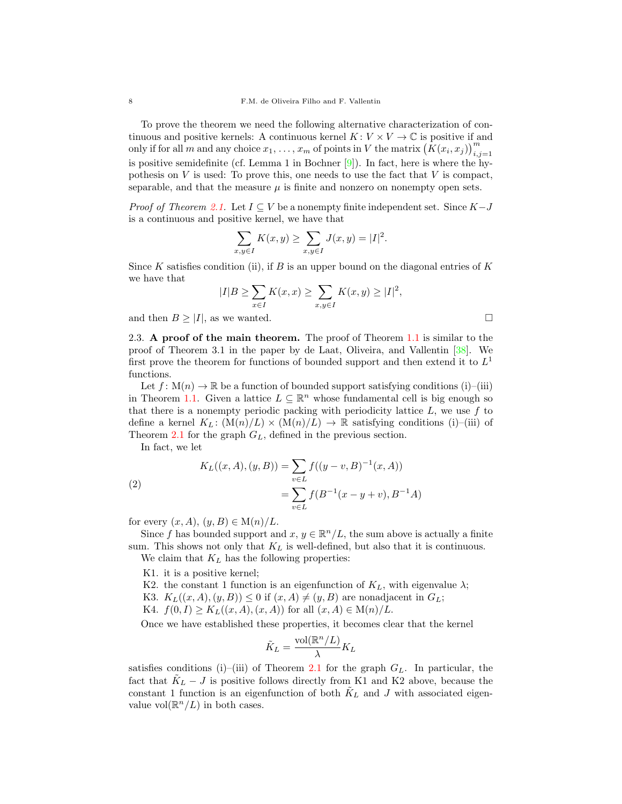To prove the theorem we need the following alternative characterization of continuous and positive kernels: A continuous kernel  $K: V \times V \to \mathbb{C}$  is positive if and only if for all m and any choice  $x_1, \ldots, x_m$  of points in V the matrix  $(K(x_i, x_j))_{i,j=1}^m$ is positive semidefinite (cf. Lemma 1 in Bochner [\[9\]](#page-27-8)). In fact, here is where the hypothesis on  $V$  is used: To prove this, one needs to use the fact that  $V$  is compact, separable, and that the measure  $\mu$  is finite and nonzero on nonempty open sets.

*Proof of Theorem [2.1.](#page-6-0)* Let  $I \subseteq V$  be a nonempty finite independent set. Since  $K-J$ is a continuous and positive kernel, we have that

$$
\sum_{x,y\in I} K(x,y) \ge \sum_{x,y\in I} J(x,y) = |I|^2.
$$

Since K satisfies condition (ii), if B is an upper bound on the diagonal entries of K we have that

$$
|I|B \ge \sum_{x \in I} K(x, x) \ge \sum_{x, y \in I} K(x, y) \ge |I|^2,
$$

and then  $B \geq |I|$ , as we wanted.

<span id="page-7-1"></span>2.3. A proof of the main theorem. The proof of Theorem [1.1](#page-3-0) is similar to the proof of Theorem 3.1 in the paper by de Laat, Oliveira, and Vallentin [\[38\]](#page-28-8). We first prove the theorem for functions of bounded support and then extend it to  $L^1$ functions.

Let  $f: M(n) \to \mathbb{R}$  be a function of bounded support satisfying conditions (i)–(iii) in Theorem [1.1.](#page-3-0) Given a lattice  $L \subseteq \mathbb{R}^n$  whose fundamental cell is big enough so that there is a nonempty periodic packing with periodicity lattice  $L$ , we use  $f$  to define a kernel  $K_L: (\mathcal{M}(n)/L) \times (\mathcal{M}(n)/L) \to \mathbb{R}$  satisfying conditions (i)–(iii) of Theorem [2.1](#page-6-0) for the graph  $G_L$ , defined in the previous section.

In fact, we let

<span id="page-7-0"></span>(2)  
\n
$$
K_L((x, A), (y, B)) = \sum_{v \in L} f((y - v, B)^{-1}(x, A))
$$
\n
$$
= \sum_{v \in L} f(B^{-1}(x - y + v), B^{-1}A)
$$

for every  $(x, A), (y, B) \in M(n)/L$ .

Since f has bounded support and  $x, y \in \mathbb{R}^n/L$ , the sum above is actually a finite sum. This shows not only that  $K_L$  is well-defined, but also that it is continuous.

We claim that  $K_L$  has the following properties:

K1. it is a positive kernel;

K2. the constant 1 function is an eigenfunction of  $K_L$ , with eigenvalue  $\lambda$ ; K3.  $K_L((x, A), (y, B)) \leq 0$  if  $(x, A) \neq (y, B)$  are nonadjacent in  $G_L$ ;

K4.  $f(0, I) \geq K_L((x, A), (x, A))$  for all  $(x, A) \in M(n)/L$ .

Once we have established these properties, it becomes clear that the kernel

$$
\tilde{K}_L = \frac{\text{vol}(\mathbb{R}^n/L)}{\lambda} K_L
$$

satisfies conditions (i)–(iii) of Theorem [2.1](#page-6-0) for the graph  $G_L$ . In particular, the fact that  $K_L - J$  is positive follows directly from K1 and K2 above, because the constant 1 function is an eigenfunction of both  $K_L$  and J with associated eigenvalue vol $(\mathbb{R}^n/L)$  in both cases.

$$
\mathsf{L}^{\mathsf{L}}
$$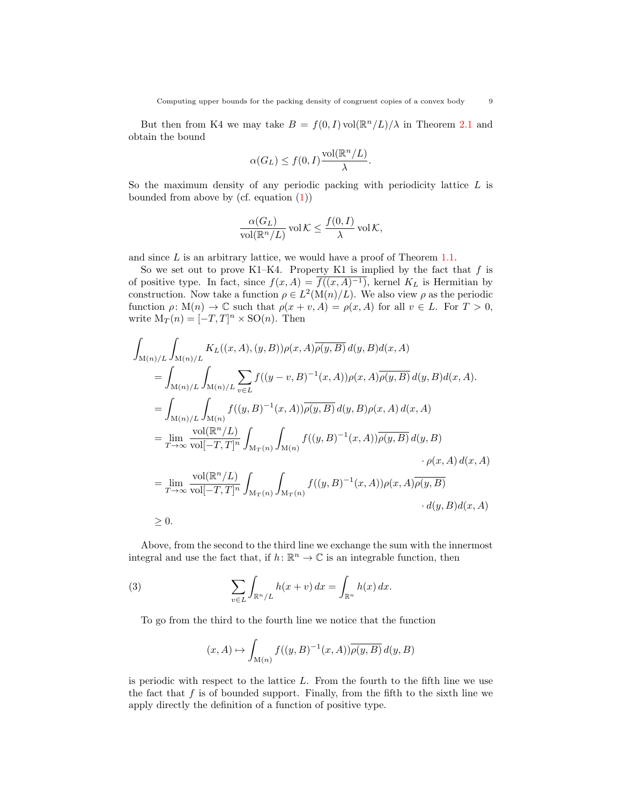But then from K4 we may take  $B = f(0, I) \text{vol}(\mathbb{R}^n / L)/\lambda$  in Theorem [2.1](#page-6-0) and obtain the bound

$$
\alpha(G_L) \le f(0,I) \frac{\text{vol}(\mathbb{R}^n/L)}{\lambda}.
$$

So the maximum density of any periodic packing with periodicity lattice  $L$  is bounded from above by (cf. equation  $(1)$ )

$$
\frac{\alpha(G_L)}{\text{vol}(\mathbb{R}^n/L)} \text{ vol }\mathcal{K} \le \frac{f(0, I)}{\lambda} \text{ vol }\mathcal{K},
$$

and since L is an arbitrary lattice, we would have a proof of Theorem [1.1.](#page-3-0)

So we set out to prove K1–K4. Property K1 is implied by the fact that  $f$  is of positive type. In fact, since  $f(x, A) = \overline{f((x, A)^{-1})}$ , kernel K<sub>L</sub> is Hermitian by construction. Now take a function  $\rho \in L^2(\mathcal{M}(n)/L)$ . We also view  $\rho$  as the periodic function  $\rho: M(n) \to \mathbb{C}$  such that  $\rho(x+v, A) = \rho(x, A)$  for all  $v \in L$ . For  $T > 0$ , write  $M_T(n) = [-T, T]^n \times SO(n)$ . Then

$$
\int_{M(n)/L} \int_{M(n)/L} K_L((x, A), (y, B)) \rho(x, A) \overline{\rho(y, B)} d(y, B) d(x, A)
$$
\n
$$
= \int_{M(n)/L} \int_{M(n)/L} \sum_{v \in L} f((y - v, B)^{-1}(x, A)) \rho(x, A) \overline{\rho(y, B)} d(y, B) d(x, A).
$$
\n
$$
= \int_{M(n)/L} \int_{M(n)} f((y, B)^{-1}(x, A)) \overline{\rho(y, B)} d(y, B) \rho(x, A) d(x, A)
$$
\n
$$
= \lim_{T \to \infty} \frac{\text{vol}(\mathbb{R}^n/L)}{\text{vol}[-T, T]^n} \int_{M_T(n)} \int_{M(n)} f((y, B)^{-1}(x, A)) \overline{\rho(y, B)} d(y, B)
$$
\n
$$
\cdot \rho(x, A) d(x, A)
$$
\n
$$
= \lim_{T \to \infty} \frac{\text{vol}(\mathbb{R}^n/L)}{\text{vol}[-T, T]^n} \int_{M_T(n)} \int_{M_T(n)} f((y, B)^{-1}(x, A)) \rho(x, A) \overline{\rho(y, B)}
$$
\n
$$
\cdot d(y, B) d(x, A)
$$
\n
$$
\geq 0.
$$

Above, from the second to the third line we exchange the sum with the innermost integral and use the fact that, if  $h \colon \mathbb{R}^n \to \mathbb{C}$  is an integrable function, then

(3) 
$$
\sum_{v \in L} \int_{\mathbb{R}^n / L} h(x + v) dx = \int_{\mathbb{R}^n} h(x) dx.
$$

To go from the third to the fourth line we notice that the function

<span id="page-8-0"></span>
$$
(x, A) \mapsto \int_{\mathcal{M}(n)} f((y, B)^{-1}(x, A)) \overline{\rho(y, B)} d(y, B)
$$

is periodic with respect to the lattice L. From the fourth to the fifth line we use the fact that  $f$  is of bounded support. Finally, from the fifth to the sixth line we apply directly the definition of a function of positive type.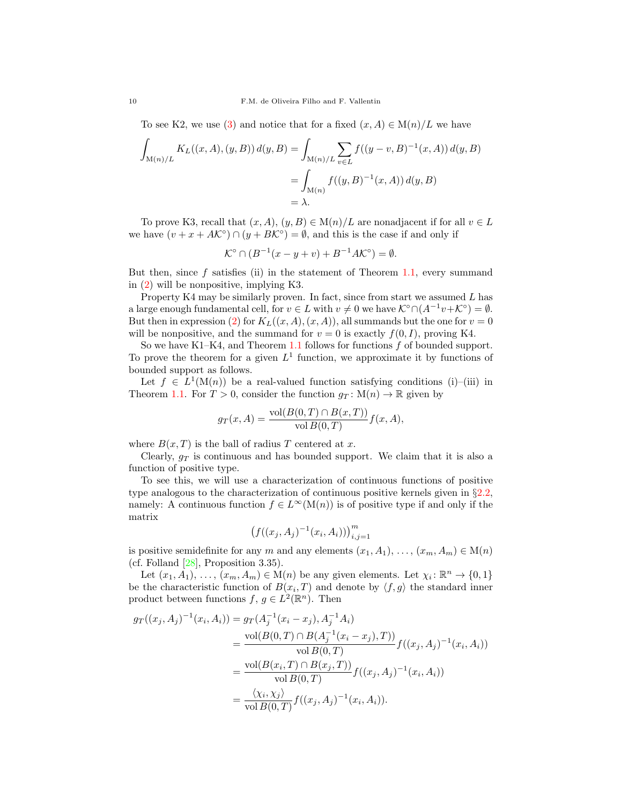To see K2, we use [\(3\)](#page-8-0) and notice that for a fixed  $(x, A) \in M(n)/L$  we have

$$
\int_{M(n)/L} K_L((x, A), (y, B)) d(y, B) = \int_{M(n)/L} \sum_{v \in L} f((y - v, B)^{-1}(x, A)) d(y, B)
$$
  
= 
$$
\int_{M(n)} f((y, B)^{-1}(x, A)) d(y, B)
$$
  
= 
$$
\lambda.
$$

To prove K3, recall that  $(x, A), (y, B) \in M(n)/L$  are nonadjacent if for all  $v \in L$ we have  $(v + x + AK^{\circ}) \cap (y + BK^{\circ}) = \emptyset$ , and this is the case if and only if

$$
\mathcal{K}^{\circ} \cap (B^{-1}(x - y + v) + B^{-1}A\mathcal{K}^{\circ}) = \emptyset.
$$

But then, since  $f$  satisfies (ii) in the statement of Theorem [1.1,](#page-3-0) every summand in [\(2\)](#page-7-0) will be nonpositive, implying K3.

Property K4 may be similarly proven. In fact, since from start we assumed  $L$  has a large enough fundamental cell, for  $v \in L$  with  $v \neq 0$  we have  $\mathcal{K}^{\circ} \cap (A^{-1}v + \mathcal{K}^{\circ}) = \emptyset$ . But then in expression [\(2\)](#page-7-0) for  $K_L((x, A), (x, A))$ , all summands but the one for  $v = 0$ will be nonpositive, and the summand for  $v = 0$  is exactly  $f(0, I)$ , proving K4.

So we have K1–K4, and Theorem [1.1](#page-3-0) follows for functions  $f$  of bounded support. To prove the theorem for a given  $L^1$  function, we approximate it by functions of bounded support as follows.

Let  $f \in L^1(\mathcal{M}(n))$  be a real-valued function satisfying conditions (i)–(iii) in Theorem [1.1.](#page-3-0) For  $T > 0$ , consider the function  $g_T : M(n) \to \mathbb{R}$  given by

$$
g_T(x, A) = \frac{\text{vol}(B(0, T) \cap B(x, T))}{\text{vol } B(0, T)} f(x, A),
$$

where  $B(x, T)$  is the ball of radius T centered at x.

Clearly,  $q_T$  is continuous and has bounded support. We claim that it is also a function of positive type.

To see this, we will use a characterization of continuous functions of positive type analogous to the characterization of continuous positive kernels given in §[2.2,](#page-5-2) namely: A continuous function  $f \in L^{\infty}(\mathcal{M}(n))$  is of positive type if and only if the matrix

$$
(f((x_j, A_j)^{-1}(x_i, A_i)))_{i,j=1}^m
$$

is positive semidefinite for any m and any elements  $(x_1, A_1), \ldots, (x_m, A_m) \in M(n)$ (cf. Folland [\[28\]](#page-28-21), Proposition 3.35).

Let  $(x_1, A_1), \ldots, (x_m, A_m) \in M(n)$  be any given elements. Let  $\chi_i : \mathbb{R}^n \to \{0, 1\}$ be the characteristic function of  $B(x_i, T)$  and denote by  $\langle f, g \rangle$  the standard inner product between functions  $f, g \in L^2(\mathbb{R}^n)$ . Then

$$
g_T((x_j, A_j)^{-1}(x_i, A_i)) = g_T(A_j^{-1}(x_i - x_j), A_j^{-1}A_i)
$$
  
= 
$$
\frac{\text{vol}(B(0, T) \cap B(A_j^{-1}(x_i - x_j), T))}{\text{vol }B(0, T)} f((x_j, A_j)^{-1}(x_i, A_i))
$$
  
= 
$$
\frac{\text{vol}(B(x_i, T) \cap B(x_j, T))}{\text{vol }B(0, T)} f((x_j, A_j)^{-1}(x_i, A_i))
$$
  
= 
$$
\frac{\langle \chi_i, \chi_j \rangle}{\text{vol }B(0, T)} f((x_j, A_j)^{-1}(x_i, A_i)).
$$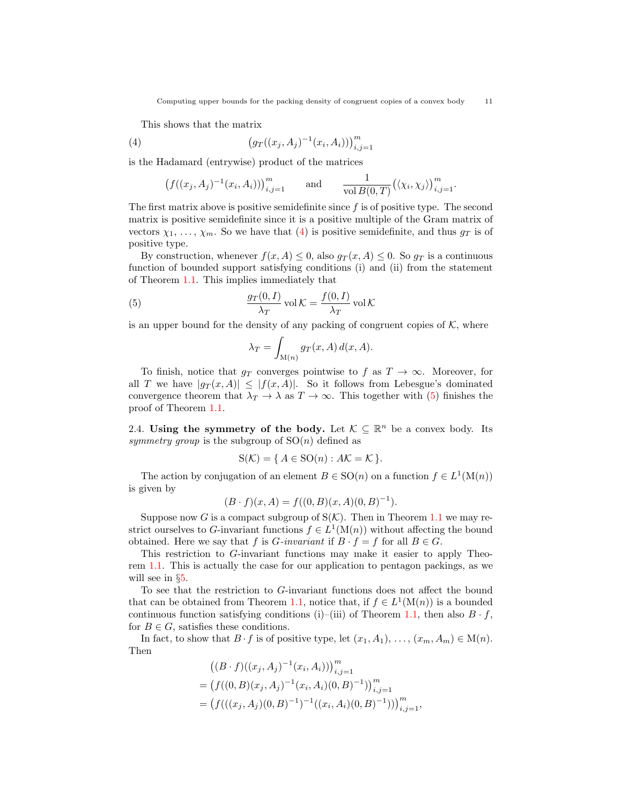Computing upper bounds for the packing density of congruent copies of a convex body 11

This shows that the matrix

(4) 
$$
(g_T((x_j, A_j)^{-1}(x_i, A_i)))_{i,j=1}^m
$$

is the Hadamard (entrywise) product of the matrices

<span id="page-10-0"></span>
$$
\left(f((x_j, A_j)^{-1}(x_i, A_i))\right)_{i,j=1}^m \quad \text{and} \quad \frac{1}{\text{vol } B(0,T)} \left(\langle \chi_i, \chi_j \rangle\right)_{i,j=1}^m.
$$

The first matrix above is positive semidefinite since  $f$  is of positive type. The second matrix is positive semidefinite since it is a positive multiple of the Gram matrix of vectors  $\chi_1, \ldots, \chi_m$ . So we have that [\(4\)](#page-10-0) is positive semidefinite, and thus  $g_T$  is of positive type.

By construction, whenever  $f(x, A) \leq 0$ , also  $g_T(x, A) \leq 0$ . So  $g_T$  is a continuous function of bounded support satisfying conditions (i) and (ii) from the statement of Theorem [1.1.](#page-3-0) This implies immediately that

(5) 
$$
\frac{g_T(0, I)}{\lambda_T} \operatorname{vol} \mathcal{K} = \frac{f(0, I)}{\lambda_T} \operatorname{vol} \mathcal{K}
$$

is an upper bound for the density of any packing of congruent copies of  $K$ , where

<span id="page-10-1"></span>
$$
\lambda_T = \int_{\mathcal{M}(n)} g_T(x, A) d(x, A).
$$

To finish, notice that  $g_T$  converges pointwise to f as  $T \to \infty$ . Moreover, for all T we have  $|g_T(x, A)| \leq |f(x, A)|$ . So it follows from Lebesgue's dominated convergence theorem that  $\lambda_T \to \lambda$  as  $T \to \infty$ . This together with [\(5\)](#page-10-1) finishes the proof of Theorem [1.1.](#page-3-0)

2.4. Using the symmetry of the body. Let  $K \subseteq \mathbb{R}^n$  be a convex body. Its symmetry group is the subgroup of  $SO(n)$  defined as

$$
S(\mathcal{K}) = \{ A \in SO(n) : A\mathcal{K} = \mathcal{K} \}.
$$

The action by conjugation of an element  $B \in \text{SO}(n)$  on a function  $f \in L^1(\text{M}(n))$ is given by

$$
(B \cdot f)(x, A) = f((0, B)(x, A)(0, B)^{-1}).
$$

Suppose now G is a compact subgroup of  $S(\mathcal{K})$ . Then in Theorem [1.1](#page-3-0) we may restrict ourselves to G-invariant functions  $f \in L^1(\mathcal{M}(n))$  without affecting the bound obtained. Here we say that f is G-invariant if  $B \cdot f = f$  for all  $B \in G$ .

This restriction to G-invariant functions may make it easier to apply Theorem [1.1.](#page-3-0) This is actually the case for our application to pentagon packings, as we will see in §[5.](#page-15-0)

To see that the restriction to G-invariant functions does not affect the bound that can be obtained from Theorem [1.1,](#page-3-0) notice that, if  $f \in L^1(\mathcal{M}(n))$  is a bounded continuous function satisfying conditions (i)–(iii) of Theorem [1.1,](#page-3-0) then also  $B \cdot f$ , for  $B \in G$ , satisfies these conditions.

In fact, to show that  $B \cdot f$  is of positive type, let  $(x_1, A_1), \ldots, (x_m, A_m) \in M(n)$ . Then

$$
((B \cdot f)((x_j, A_j)^{-1}(x_i, A_i)))_{i,j=1}^m
$$
  
=  $(f((0, B)(x_j, A_j)^{-1}(x_i, A_i)(0, B)^{-1}))_{i,j=1}^m$   
=  $(f(((x_j, A_j)(0, B)^{-1})^{-1}((x_i, A_i)(0, B)^{-1})))_{i,j=1}^m$ ,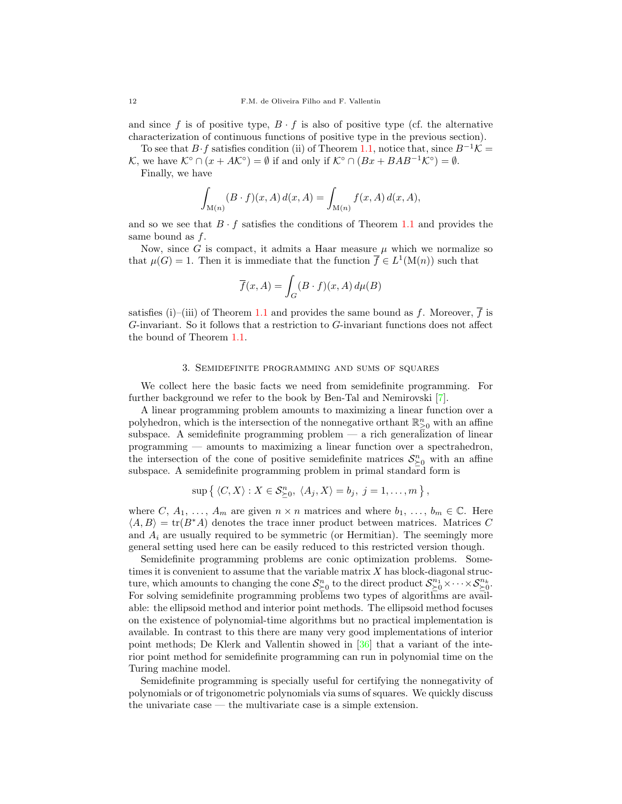and since f is of positive type,  $B \cdot f$  is also of positive type (cf. the alternative characterization of continuous functions of positive type in the previous section).

To see that  $B \cdot f$  satisfies condition (ii) of Theorem [1.1,](#page-3-0) notice that, since  $B^{-1} \mathcal{K} =$ K, we have  $\mathcal{K}^{\circ} \cap (x + AK^{\circ}) = \emptyset$  if and only if  $\mathcal{K}^{\circ} \cap (Bx + BAB^{-1}\mathcal{K}^{\circ}) = \emptyset$ .

Finally, we have

$$
\int_{M(n)} (B \cdot f)(x, A) d(x, A) = \int_{M(n)} f(x, A) d(x, A),
$$

and so we see that  $B \cdot f$  satisfies the conditions of Theorem [1.1](#page-3-0) and provides the same bound as f.

Now, since G is compact, it admits a Haar measure  $\mu$  which we normalize so that  $\mu(G) = 1$ . Then it is immediate that the function  $\overline{f} \in L^1(\mathcal{M}(n))$  such that

$$
\overline{f}(x, A) = \int_G (B \cdot f)(x, A) d\mu(B)
$$

satisfies (i)–(iii) of Theorem [1.1](#page-3-0) and provides the same bound as f. Moreover,  $\overline{f}$  is G-invariant. So it follows that a restriction to G-invariant functions does not affect the bound of Theorem [1.1.](#page-3-0)

### 3. Semidefinite programming and sums of squares

<span id="page-11-0"></span>We collect here the basic facts we need from semidefinite programming. For further background we refer to the book by Ben-Tal and Nemirovski [\[7\]](#page-27-9).

A linear programming problem amounts to maximizing a linear function over a polyhedron, which is the intersection of the nonnegative orthant  $\mathbb{R}^n_{\geq 0}$  with an affine subspace. A semidefinite programming problem  $-$  a rich generalization of linear programming — amounts to maximizing a linear function over a spectrahedron, the intersection of the cone of positive semidefinite matrices  $S_{\geq 0}^n$  with an affine subspace. A semidefinite programming problem in primal standard form is

$$
\sup \{ \langle C, X \rangle : X \in \mathcal{S}_{\geq 0}^n, \ \langle A_j, X \rangle = b_j, \ j = 1, \dots, m \},
$$

where C,  $A_1, \ldots, A_m$  are given  $n \times n$  matrices and where  $b_1, \ldots, b_m \in \mathbb{C}$ . Here  $\langle A, B \rangle = \text{tr}(B^*A)$  denotes the trace inner product between matrices. Matrices C and  $A_i$  are usually required to be symmetric (or Hermitian). The seemingly more general setting used here can be easily reduced to this restricted version though.

Semidefinite programming problems are conic optimization problems. Sometimes it is convenient to assume that the variable matrix  $X$  has block-diagonal structure, which amounts to changing the cone  $\mathcal{S}_{\geq 0}^n$  to the direct product  $\mathcal{S}_{\geq 0}^{n_1} \times \cdots \times \mathcal{S}_{\geq 0}^{n_k}$ . For solving semidefinite programming problems two types of algorithms are available: the ellipsoid method and interior point methods. The ellipsoid method focuses on the existence of polynomial-time algorithms but no practical implementation is available. In contrast to this there are many very good implementations of interior point methods; De Klerk and Vallentin showed in [\[36\]](#page-28-22) that a variant of the interior point method for semidefinite programming can run in polynomial time on the Turing machine model.

Semidefinite programming is specially useful for certifying the nonnegativity of polynomials or of trigonometric polynomials via sums of squares. We quickly discuss the univariate case — the multivariate case is a simple extension.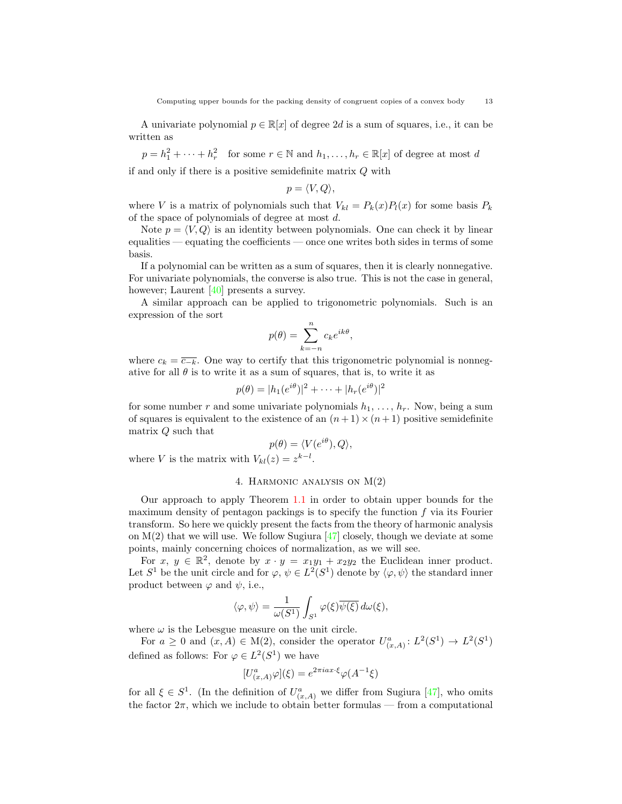A univariate polynomial  $p \in \mathbb{R}[x]$  of degree 2d is a sum of squares, i.e., it can be written as

 $p = h_1^2 + \cdots + h_r^2$  for some  $r \in \mathbb{N}$  and  $h_1, \ldots, h_r \in \mathbb{R}[x]$  of degree at most d if and only if there is a positive semidefinite matrix Q with

$$
p=\langle V,Q\rangle,
$$

where V is a matrix of polynomials such that  $V_{kl} = P_k(x)P_l(x)$  for some basis  $P_k$ of the space of polynomials of degree at most d.

Note  $p = \langle V, Q \rangle$  is an identity between polynomials. One can check it by linear equalities — equating the coefficients — once one writes both sides in terms of some basis.

If a polynomial can be written as a sum of squares, then it is clearly nonnegative. For univariate polynomials, the converse is also true. This is not the case in general, however; Laurent [\[40\]](#page-28-23) presents a survey.

A similar approach can be applied to trigonometric polynomials. Such is an expression of the sort

$$
p(\theta) = \sum_{k=-n}^{n} c_k e^{ik\theta},
$$

where  $c_k = \overline{c_{-k}}$ . One way to certify that this trigonometric polynomial is nonnegative for all  $\theta$  is to write it as a sum of squares, that is, to write it as

$$
p(\theta) = |h_1(e^{i\theta})|^2 + \cdots + |h_r(e^{i\theta})|^2
$$

for some number r and some univariate polynomials  $h_1, \ldots, h_r$ . Now, being a sum of squares is equivalent to the existence of an  $(n+1)\times(n+1)$  positive semidefinite matrix Q such that

$$
p(\theta) = \langle V(e^{i\theta}), Q \rangle,
$$

<span id="page-12-0"></span>where V is the matrix with  $V_{kl}(z) = z^{k-l}$ .

## 4. Harmonic analysis on M(2)

Our approach to apply Theorem [1.1](#page-3-0) in order to obtain upper bounds for the maximum density of pentagon packings is to specify the function  $f$  via its Fourier transform. So here we quickly present the facts from the theory of harmonic analysis on  $M(2)$  that we will use. We follow Sugiura [\[47\]](#page-29-7) closely, though we deviate at some points, mainly concerning choices of normalization, as we will see.

For  $x, y \in \mathbb{R}^2$ , denote by  $x \cdot y = x_1y_1 + x_2y_2$  the Euclidean inner product. Let  $S^1$  be the unit circle and for  $\varphi, \psi \in L^2(S^1)$  denote by  $\langle \varphi, \psi \rangle$  the standard inner product between  $\varphi$  and  $\psi$ , i.e.,

$$
\langle \varphi, \psi \rangle = \frac{1}{\omega(S^1)} \int_{S^1} \varphi(\xi) \overline{\psi(\xi)} \, d\omega(\xi),
$$

where  $\omega$  is the Lebesgue measure on the unit circle.

For  $a \geq 0$  and  $(x, A) \in M(2)$ , consider the operator  $U^a_{(x,A)}: L^2(S^1) \to L^2(S^1)$ defined as follows: For  $\varphi \in L^2(S^1)$  we have

$$
[U_{(x,A)}^a \varphi](\xi) = e^{2\pi i a x \cdot \xi} \varphi(A^{-1}\xi)
$$

for all  $\xi \in S^1$ . (In the definition of  $U^a_{(x,A)}$  we differ from Sugiura [\[47\]](#page-29-7), who omits the factor  $2\pi$ , which we include to obtain better formulas — from a computational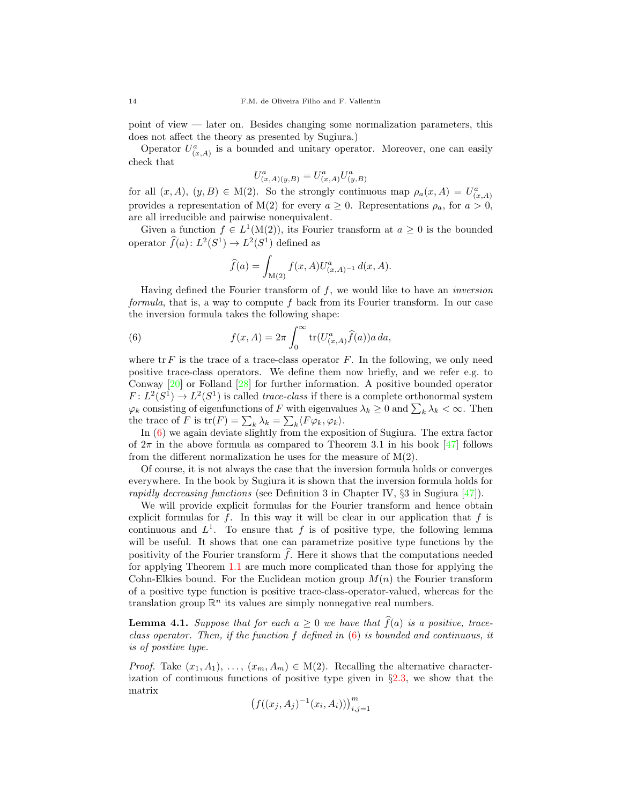point of view — later on. Besides changing some normalization parameters, this does not affect the theory as presented by Sugiura.)

Operator  $U_{(x,A)}^a$  is a bounded and unitary operator. Moreover, one can easily check that

$$
U^{a}_{(x,A)(y,B)} = U^{a}_{(x,A)} U^{a}_{(y,B)}
$$

for all  $(x, A), (y, B) \in M(2)$ . So the strongly continuous map  $\rho_a(x, A) = U^a_{(x, A)}$ provides a representation of M(2) for every  $a \geq 0$ . Representations  $\rho_a$ , for  $a > 0$ , are all irreducible and pairwise nonequivalent.

Given a function  $f \in L^1(M(2))$ , its Fourier transform at  $a \geq 0$  is the bounded operator  $\widehat{f}(a)$ :  $L^2(S^1) \to L^2(S^1)$  defined as

<span id="page-13-0"></span>
$$
\widehat{f}(a) = \int_{\mathcal{M}(2)} f(x, A) U_{(x, A)^{-1}}^a \, d(x, A).
$$

Having defined the Fourier transform of  $f$ , we would like to have an *inversion* formula, that is, a way to compute f back from its Fourier transform. In our case the inversion formula takes the following shape:

(6) 
$$
f(x, A) = 2\pi \int_0^\infty \text{tr}(U_{(x,A)}^a \hat{f}(a)) a \, da,
$$

where  $\operatorname{tr} F$  is the trace of a trace-class operator  $F$ . In the following, we only need positive trace-class operators. We define them now briefly, and we refer e.g. to Conway [\[20\]](#page-28-19) or Folland [\[28\]](#page-28-21) for further information. A positive bounded operator  $F: L^2(S^1) \to L^2(S^1)$  is called *trace-class* if there is a complete orthonormal system  $\varphi_k$  consisting of eigenfunctions of F with eigenvalues  $\lambda_k \geq 0$  and  $\sum_k \lambda_k < \infty$ . Then the trace of F is  $\text{tr}(F) = \sum_{k} \lambda_k = \sum_{k} \langle F \varphi_k, \varphi_k \rangle$ .

In [\(6\)](#page-13-0) we again deviate slightly from the exposition of Sugiura. The extra factor of  $2\pi$  in the above formula as compared to Theorem 3.1 in his book [\[47\]](#page-29-7) follows from the different normalization he uses for the measure of  $M(2)$ .

Of course, it is not always the case that the inversion formula holds or converges everywhere. In the book by Sugiura it is shown that the inversion formula holds for rapidly decreasing functions (see Definition 3 in Chapter IV,  $\S$ 3 in Sugiura [\[47\]](#page-29-7)).

We will provide explicit formulas for the Fourier transform and hence obtain explicit formulas for  $f$ . In this way it will be clear in our application that  $f$  is continuous and  $L^1$ . To ensure that f is of positive type, the following lemma will be useful. It shows that one can parametrize positive type functions by the positivity of the Fourier transform  $\hat{f}$ . Here it shows that the computations needed for applying Theorem [1.1](#page-3-0) are much more complicated than those for applying the Cohn-Elkies bound. For the Euclidean motion group  $M(n)$  the Fourier transform of a positive type function is positive trace-class-operator-valued, whereas for the translation group  $\mathbb{R}^n$  its values are simply nonnegative real numbers.

<span id="page-13-1"></span>**Lemma 4.1.** Suppose that for each  $a \geq 0$  we have that  $\widehat{f}(a)$  is a positive, traceclass operator. Then, if the function  $f$  defined in  $(6)$  is bounded and continuous, it is of positive type.

*Proof.* Take  $(x_1, A_1), \ldots, (x_m, A_m) \in M(2)$ . Recalling the alternative characterization of continuous functions of positive type given in  $\S 2.3$ , we show that the matrix

$$
\left(f((x_j, A_j)^{-1}(x_i, A_i))\right)_{i,j=1}^m
$$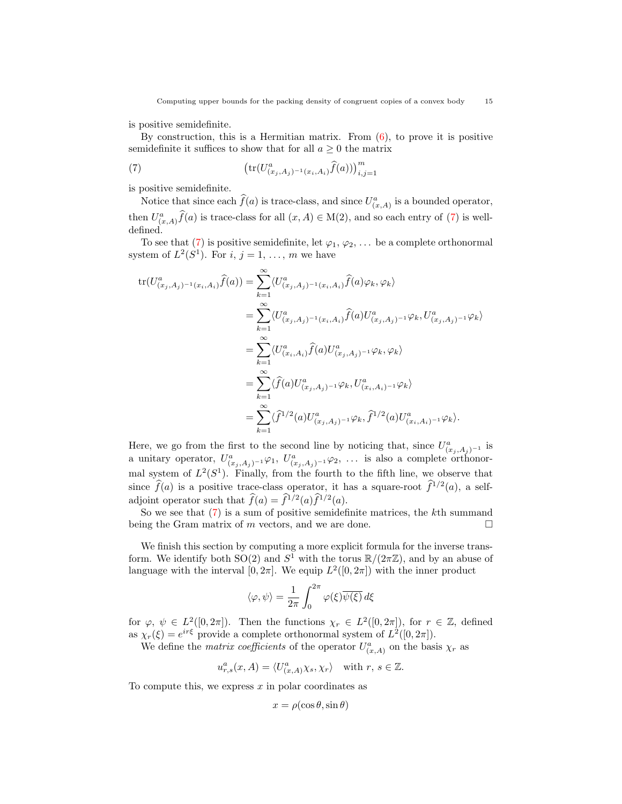is positive semidefinite.

By construction, this is a Hermitian matrix. From  $(6)$ , to prove it is positive semidefinite it suffices to show that for all  $a \geq 0$  the matrix

<span id="page-14-0"></span>(7) 
$$
\left(\text{tr}(U_{(x_j,A_j)^{-1}(x_i,A_i)}^a\hat{f}(a))\right)_{i,j=1}^m
$$

is positive semidefinite.

Notice that since each  $\hat{f}(a)$  is trace-class, and since  $U^a_{(x,A)}$  is a bounded operator, then  $U^a_{(x,A)}\hat{f}(a)$  is trace-class for all  $(x, A) \in M(2)$ , and so each entry of [\(7\)](#page-14-0) is welldefined.

To see that [\(7\)](#page-14-0) is positive semidefinite, let  $\varphi_1, \varphi_2, \ldots$  be a complete orthonormal system of  $L^2(S^1)$ . For  $i, j = 1, ..., m$  we have

$$
tr(U_{(x_j,A_j)^{-1}(x_i,A_i)}^a \hat{f}(a)) = \sum_{k=1}^{\infty} \langle U_{(x_j,A_j)^{-1}(x_i,A_i)}^a \hat{f}(a) \varphi_k, \varphi_k \rangle
$$
  
\n
$$
= \sum_{k=1}^{\infty} \langle U_{(x_j,A_j)^{-1}(x_i,A_i)}^a \hat{f}(a) U_{(x_j,A_j)^{-1}}^a \varphi_k, U_{(x_j,A_j)^{-1}}^a \varphi_k \rangle
$$
  
\n
$$
= \sum_{k=1}^{\infty} \langle U_{(x_i,A_i)}^a \hat{f}(a) U_{(x_j,A_j)^{-1}}^a \varphi_k, \varphi_k \rangle
$$
  
\n
$$
= \sum_{k=1}^{\infty} \langle \hat{f}(a) U_{(x_j,A_j)^{-1}}^a \varphi_k, U_{(x_i,A_i)^{-1}}^a \varphi_k \rangle
$$
  
\n
$$
= \sum_{k=1}^{\infty} \langle \hat{f}^{1/2}(a) U_{(x_j,A_j)^{-1}}^a \varphi_k, \hat{f}^{1/2}(a) U_{(x_i,A_i)^{-1}}^a \varphi_k \rangle.
$$

Here, we go from the first to the second line by noticing that, since  $U^a_{(x_j,A_j)^{-1}}$  is a unitary operator,  $U^a_{(x_j,A_j)^{-1}}\varphi_1, U^a_{(x_j,A_j)^{-1}}\varphi_2, \ldots$  is also a complete orthonormal system of  $L^2(S^1)$ . Finally, from the fourth to the fifth line, we observe that since  $\widehat{f}(a)$  is a positive trace-class operator, it has a square-root  $\widehat{f}^{1/2}(a)$ , a selfadjoint operator such that  $\widehat{f}(a) = \widehat{f}^{1/2}(a)\widehat{f}^{1/2}(a)$ .

So we see that  $(7)$  is a sum of positive semidefinite matrices, the k<sup>th</sup> summand being the Gram matrix of m vectors, and we are done.  $\Box$ 

We finish this section by computing a more explicit formula for the inverse transform. We identify both  $SO(2)$  and  $S^1$  with the torus  $\mathbb{R}/(2\pi\mathbb{Z})$ , and by an abuse of language with the interval  $[0, 2\pi]$ . We equip  $L^2([0, 2\pi])$  with the inner product

$$
\langle \varphi, \psi \rangle = \frac{1}{2\pi} \int_0^{2\pi} \varphi(\xi) \overline{\psi(\xi)} d\xi
$$

for  $\varphi, \psi \in L^2([0, 2\pi])$ . Then the functions  $\chi_r \in L^2([0, 2\pi])$ , for  $r \in \mathbb{Z}$ , defined as  $\chi_r(\xi) = e^{ir\xi}$  provide a complete orthonormal system of  $L^2([0, 2\pi])$ .

We define the *matrix coefficients* of the operator  $U^a_{(x,A)}$  on the basis  $\chi_r$  as

$$
u_{r,s}^a(x,A) = \langle U_{(x,A)}^a \chi_s, \chi_r \rangle \quad \text{with } r, s \in \mathbb{Z}.
$$

To compute this, we express  $x$  in polar coordinates as

$$
x = \rho(\cos \theta, \sin \theta)
$$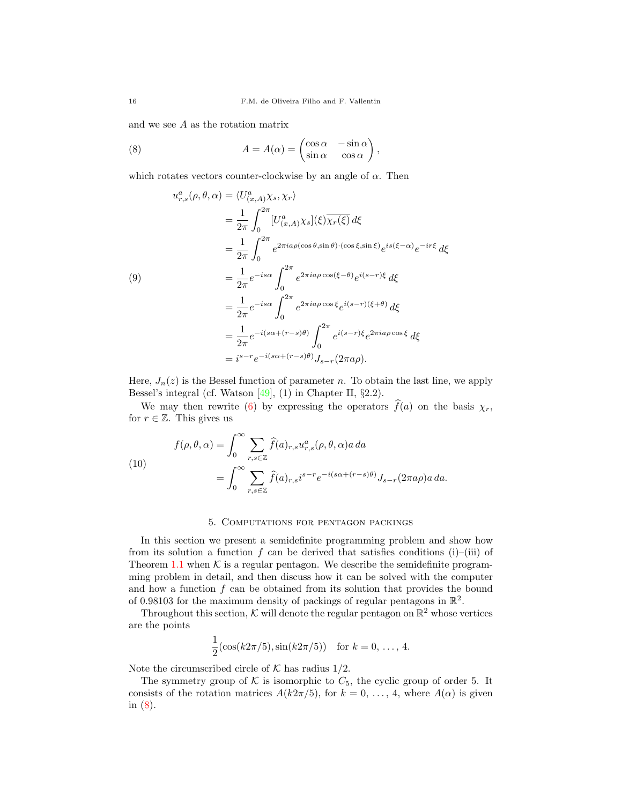and we see A as the rotation matrix

<span id="page-15-1"></span>(8) 
$$
A = A(\alpha) = \begin{pmatrix} \cos \alpha & -\sin \alpha \\ \sin \alpha & \cos \alpha \end{pmatrix},
$$

which rotates vectors counter-clockwise by an angle of  $\alpha$ . Then

<span id="page-15-3"></span>
$$
u_{r,s}^{a}(\rho,\theta,\alpha) = \langle U_{(x,A)}^{a}\chi_{s},\chi_{r}\rangle
$$
  
\n
$$
= \frac{1}{2\pi} \int_{0}^{2\pi} [U_{(x,A)}^{a}\chi_{s}](\xi)\overline{\chi_{r}(\xi)} d\xi
$$
  
\n
$$
= \frac{1}{2\pi} \int_{0}^{2\pi} e^{2\pi i a\rho(\cos\theta,\sin\theta)\cdot(\cos\xi,\sin\xi)} e^{is(\xi-\alpha)} e^{-ir\xi} d\xi
$$
  
\n(9)  
\n
$$
= \frac{1}{2\pi} e^{-is\alpha} \int_{0}^{2\pi} e^{2\pi i a\rho\cos(\xi-\theta)} e^{i(s-r)\xi} d\xi
$$
  
\n
$$
= \frac{1}{2\pi} e^{-is\alpha} \int_{0}^{2\pi} e^{2\pi i a\rho\cos\xi} e^{i(s-r)(\xi+\theta)} d\xi
$$
  
\n
$$
= \frac{1}{2\pi} e^{-i(s\alpha+(r-s)\theta)} \int_{0}^{2\pi} e^{i(s-r)\xi} e^{2\pi i a\rho\cos\xi} d\xi
$$
  
\n
$$
= i^{s-r} e^{-i(s\alpha+(r-s)\theta)} J_{s-r}(2\pi a\rho).
$$

Here,  $J_n(z)$  is the Bessel function of parameter n. To obtain the last line, we apply Bessel's integral (cf. Watson [\[49\]](#page-29-8), (1) in Chapter II, §2.2).

We may then rewrite [\(6\)](#page-13-0) by expressing the operators  $\hat{f}(a)$  on the basis  $\chi_r$ , for  $r \in \mathbb{Z}$ . This gives us

<span id="page-15-2"></span>(10)  

$$
f(\rho, \theta, \alpha) = \int_0^\infty \sum_{r, s \in \mathbb{Z}} \widehat{f}(a)_{r, s} u_{r, s}^a(\rho, \theta, \alpha) a \, da
$$

$$
= \int_0^\infty \sum_{r, s \in \mathbb{Z}} \widehat{f}(a)_{r, s} i^{s-r} e^{-i(s\alpha + (r-s)\theta)} J_{s-r}(2\pi a \rho) a \, da.
$$

### 5. Computations for pentagon packings

<span id="page-15-0"></span>In this section we present a semidefinite programming problem and show how from its solution a function f can be derived that satisfies conditions (i)–(iii) of Theorem [1.1](#page-3-0) when  $K$  is a regular pentagon. We describe the semidefinite programming problem in detail, and then discuss how it can be solved with the computer and how a function  $f$  can be obtained from its solution that provides the bound of 0.98103 for the maximum density of packings of regular pentagons in  $\mathbb{R}^2$ .

Throughout this section,  $K$  will denote the regular pentagon on  $\mathbb{R}^2$  whose vertices are the points

$$
\frac{1}{2}(\cos(k2\pi/5), \sin(k2\pi/5)) \text{ for } k = 0, \ldots, 4.
$$

Note the circumscribed circle of  $K$  has radius  $1/2$ .

The symmetry group of  $K$  is isomorphic to  $C_5$ , the cyclic group of order 5. It consists of the rotation matrices  $A(k2\pi/5)$ , for  $k = 0, \ldots, 4$ , where  $A(\alpha)$  is given in [\(8\)](#page-15-1).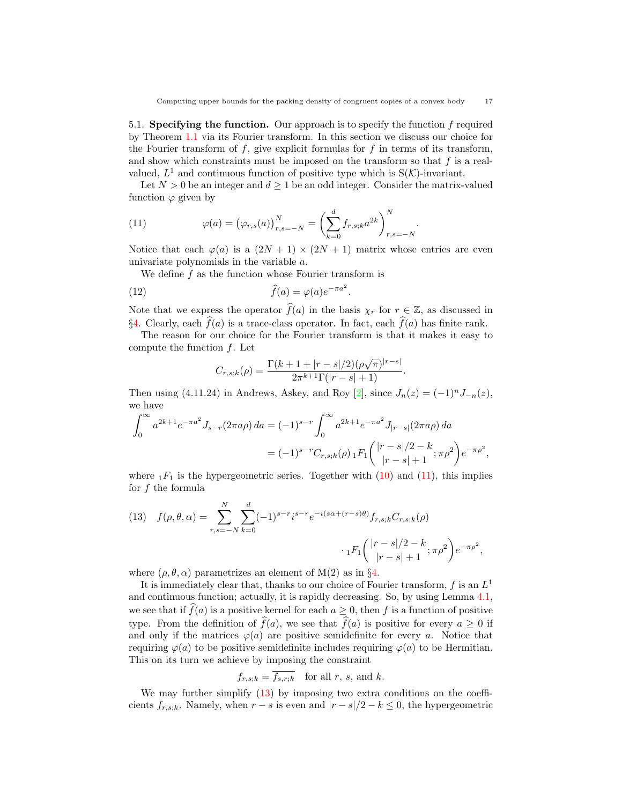5.1. Specifying the function. Our approach is to specify the function f required by Theorem [1.1](#page-3-0) via its Fourier transform. In this section we discuss our choice for the Fourier transform of  $f$ , give explicit formulas for  $f$  in terms of its transform, and show which constraints must be imposed on the transform so that  $f$  is a realvalued,  $L^1$  and continuous function of positive type which is  $S(\mathcal{K})$ -invariant.

Let  $N > 0$  be an integer and  $d \geq 1$  be an odd integer. Consider the matrix-valued function  $\varphi$  given by

<span id="page-16-0"></span>(11) 
$$
\varphi(a) = (\varphi_{r,s}(a))_{r,s=-N}^N = \left(\sum_{k=0}^d f_{r,s,k} a^{2k}\right)_{r,s=-N}^N.
$$

Notice that each  $\varphi(a)$  is a  $(2N + 1) \times (2N + 1)$  matrix whose entries are even univariate polynomials in the variable a.

We define  $f$  as the function whose Fourier transform is

(12) 
$$
\widehat{f}(a) = \varphi(a)e^{-\pi a^2}.
$$

Note that we express the operator  $\widehat{f}(a)$  in the basis  $\chi_r$  for  $r \in \mathbb{Z}$ , as discussed in §[4.](#page-12-0) Clearly, each  $\hat{f}(a)$  is a trace-class operator. In fact, each  $\hat{f}(a)$  has finite rank.

The reason for our choice for the Fourier transform is that it makes it easy to compute the function f. Let

$$
C_{r,s;k}(\rho) = \frac{\Gamma(k+1+|r-s|/2)(\rho\sqrt{\pi})^{|r-s|}}{2\pi^{k+1}\Gamma(|r-s|+1)}.
$$

Then using (4.11.24) in Andrews, Askey, and Roy [\[2\]](#page-27-10), since  $J_n(z) = (-1)^n J_{-n}(z)$ , we have

$$
\int_0^\infty a^{2k+1} e^{-\pi a^2} J_{s-r}(2\pi a \rho) da = (-1)^{s-r} \int_0^\infty a^{2k+1} e^{-\pi a^2} J_{|r-s|}(2\pi a \rho) da
$$
  
=  $(-1)^{s-r} C_{r,s,k}(\rho) {}_1F_1 \left( \frac{|r-s|/2 - k}{|r-s|+1}; \pi \rho^2 \right) e^{-\pi \rho^2},$ 

where  $_1F_1$  is the hypergeometric series. Together with  $(10)$  and  $(11)$ , this implies for f the formula

<span id="page-16-1"></span>(13) 
$$
f(\rho, \theta, \alpha) = \sum_{r,s=-N}^{N} \sum_{k=0}^{d} (-1)^{s-r} i^{s-r} e^{-i(s\alpha + (r-s)\theta)} f_{r,s;k} C_{r,s;k}(\rho)
$$

$$
\cdot {}_1F_1 \left( \frac{|r-s|/2 - k}{|r-s|+1}; \pi \rho^2 \right) e^{-\pi \rho^2}
$$

where  $(\rho, \theta, \alpha)$  parametrizes an element of M(2) as in §[4.](#page-12-0)

It is immediately clear that, thanks to our choice of Fourier transform,  $f$  is an  $L^1$ and continuous function; actually, it is rapidly decreasing. So, by using Lemma [4.1,](#page-13-1) we see that if  $\widehat{f}(a)$  is a positive kernel for each  $a \geq 0$ , then f is a function of positive type. From the definition of  $\widehat{f}(a)$ , we see that  $\widehat{f}(a)$  is positive for every  $a \geq 0$  if and only if the matrices  $\varphi(a)$  are positive semidefinite for every a. Notice that requiring  $\varphi(a)$  to be positive semidefinite includes requiring  $\varphi(a)$  to be Hermitian. This on its turn we achieve by imposing the constraint

$$
f_{r,s;k} = f_{s,r;k} \quad \text{for all } r, s, \text{ and } k.
$$

We may further simplify [\(13\)](#page-16-1) by imposing two extra conditions on the coefficients  $f_{r,s;k}$ . Namely, when  $r - s$  is even and  $|r - s|/2 - k \leq 0$ , the hypergeometric

,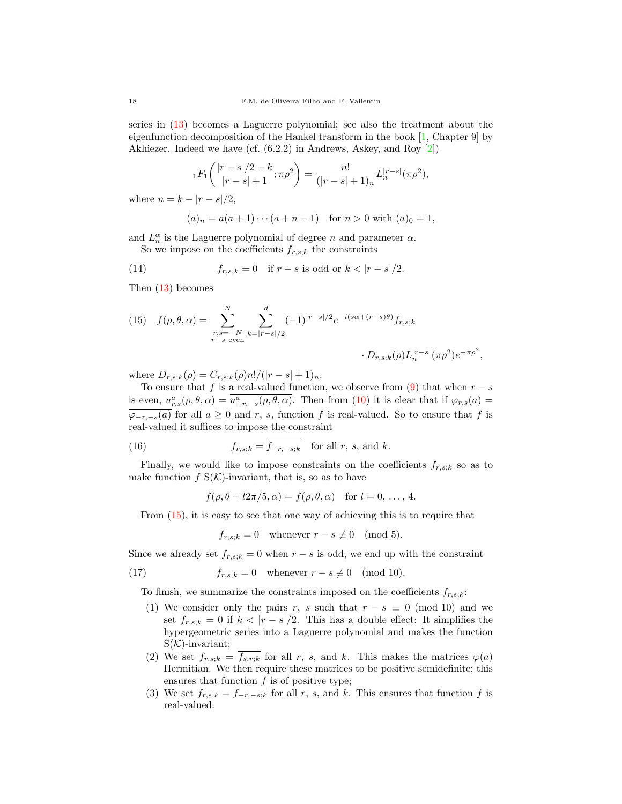series in [\(13\)](#page-16-1) becomes a Laguerre polynomial; see also the treatment about the eigenfunction decomposition of the Hankel transform in the book [\[1,](#page-27-11) Chapter 9] by Akhiezer. Indeed we have (cf. (6.2.2) in Andrews, Askey, and Roy [\[2\]](#page-27-10))

$$
{}_1F_1\left({\frac{|r-s|/2-k}{|r-s|+1}};\pi\rho^2\right) = \frac{n!}{(|r-s|+1)_n}L_n^{|r-s|}(\pi\rho^2),
$$

where  $n = k - |r - s|/2$ ,

<span id="page-17-1"></span>
$$
(a)_n = a(a+1)\cdots(a+n-1)
$$
 for  $n > 0$  with  $(a)_0 = 1$ ,

and  $L_n^{\alpha}$  is the Laguerre polynomial of degree n and parameter  $\alpha$ . So we impose on the coefficients  $f_{r,s;k}$  the constraints

(14) 
$$
f_{r,s;k} = 0
$$
 if  $r - s$  is odd or  $k < |r - s|/2$ .

Then [\(13\)](#page-16-1) becomes

<span id="page-17-0"></span>(15) 
$$
f(\rho, \theta, \alpha) = \sum_{\substack{r,s=-N \ r-s \text{ even}}}^{N} \sum_{k=|r-s|/2}^{d} (-1)^{|r-s|/2} e^{-i(s\alpha + (r-s)\theta)} f_{r,s;k}
$$

$$
\cdot D_{r,s;k}(\rho) L_n^{|r-s|} (\pi \rho^2) e^{-\pi \rho^2},
$$

where  $D_{r,s;k}(\rho) = C_{r,s;k}(\rho) n! / (|r-s|+1)_n$ .

To ensure that f is a real-valued function, we observe from [\(9\)](#page-15-3) that when  $r - s$ is even,  $u_{r,s}^a(\rho,\theta,\alpha) = \overline{u_{-r,-s}^a(\rho,\theta,\alpha)}$ . Then from [\(10\)](#page-15-2) it is clear that if  $\varphi_{r,s}(a) =$  $\varphi_{-r,-s}(a)$  for all  $a \geq 0$  and r, s, function f is real-valued. So to ensure that f is real-valued it suffices to impose the constraint

(16) 
$$
f_{r,s;k} = \overline{f_{-r,-s;k}} \quad \text{for all } r, s, \text{ and } k.
$$

Finally, we would like to impose constraints on the coefficients  $f_{r,s,k}$  so as to make function  $f S(\mathcal{K})$ -invariant, that is, so as to have

<span id="page-17-2"></span> $f(\rho, \theta + l2\pi/5, \alpha) = f(\rho, \theta, \alpha)$  for  $l = 0, \ldots, 4$ .

From [\(15\)](#page-17-0), it is easy to see that one way of achieving this is to require that

<span id="page-17-3"></span> $f_{r,s;k} = 0$  whenever  $r - s \not\equiv 0 \pmod{5}$ .

Since we already set  $f_{r,s;k} = 0$  when  $r - s$  is odd, we end up with the constraint

(17) 
$$
f_{r,s;k} = 0 \quad \text{whenever } r - s \not\equiv 0 \pmod{10}.
$$

To finish, we summarize the constraints imposed on the coefficients  $f_{r,s,k}$ :

- (1) We consider only the pairs r, s such that  $r s \equiv 0 \pmod{10}$  and we set  $f_{r,s;k} = 0$  if  $k < |r - s|/2$ . This has a double effect: It simplifies the hypergeometric series into a Laguerre polynomial and makes the function  $S(K)$ -invariant;
- (2) We set  $f_{r,s;k} = \overline{f_{s,r;k}}$  for all r, s, and k. This makes the matrices  $\varphi(a)$ Hermitian. We then require these matrices to be positive semidefinite; this ensures that function  $f$  is of positive type;
- (3) We set  $f_{r,s;k} = f_{-r,-s;k}$  for all r, s, and k. This ensures that function f is real-valued.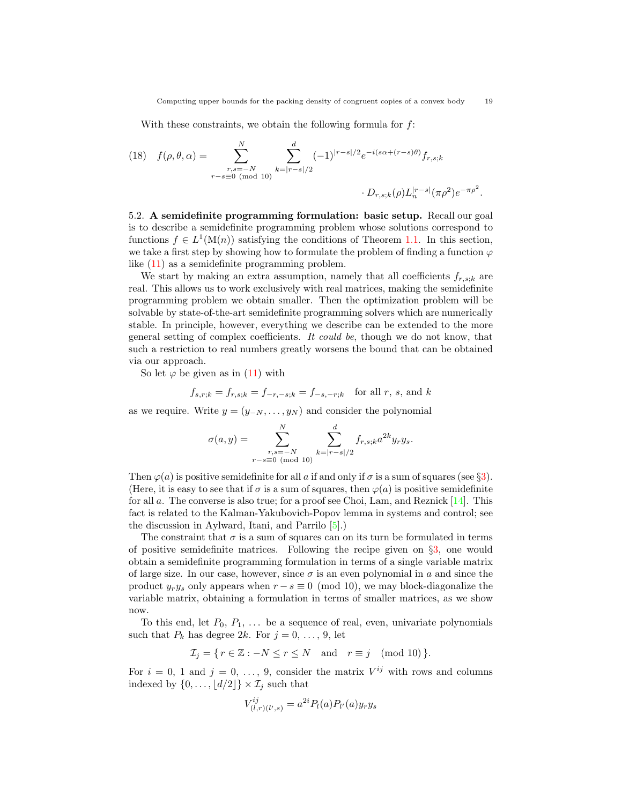With these constraints, we obtain the following formula for f:

<span id="page-18-0"></span>(18) 
$$
f(\rho, \theta, \alpha) = \sum_{\substack{r,s=-N \ r-s \equiv 0 \pmod{10}}}^{N} \sum_{k=|r-s|/2}^{d} (-1)^{|r-s|/2} e^{-i(s\alpha + (r-s)\theta)} f_{r,s;k}
$$

$$
\cdot D_{r,s;k}(\rho) L_n^{|r-s|}(\pi \rho^2) e^{-\pi \rho^2}.
$$

5.2. A semidefinite programming formulation: basic setup. Recall our goal is to describe a semidefinite programming problem whose solutions correspond to functions  $f \in L^1(\mathcal{M}(n))$  satisfying the conditions of Theorem [1.1.](#page-3-0) In this section, we take a first step by showing how to formulate the problem of finding a function  $\varphi$ like [\(11\)](#page-16-0) as a semidefinite programming problem.

We start by making an extra assumption, namely that all coefficients  $f_{r,s;k}$  are real. This allows us to work exclusively with real matrices, making the semidefinite programming problem we obtain smaller. Then the optimization problem will be solvable by state-of-the-art semidefinite programming solvers which are numerically stable. In principle, however, everything we describe can be extended to the more general setting of complex coefficients. It could be, though we do not know, that such a restriction to real numbers greatly worsens the bound that can be obtained via our approach.

So let  $\varphi$  be given as in [\(11\)](#page-16-0) with

$$
f_{s,r;k} = f_{r,s;k} = f_{-r,-s;k} = f_{-s,-r;k}
$$
 for all r, s, and k

as we require. Write  $y = (y_{-N}, \ldots, y_N)$  and consider the polynomial

$$
\sigma(a,y) = \sum_{\substack{r,s=-N\\r-s \equiv 0 \pmod{10}}}^{N} \sum_{k=|r-s|/2}^{d} f_{r,s;k} a^{2k} y_{r} y_{s}.
$$

Then  $\varphi(a)$  is positive semidefinite for all a if and only if  $\sigma$  is a sum of squares (see §[3\)](#page-11-0). (Here, it is easy to see that if  $\sigma$  is a sum of squares, then  $\varphi(a)$  is positive semidefinite for all a. The converse is also true; for a proof see Choi, Lam, and Reznick [\[14\]](#page-27-12). This fact is related to the Kalman-Yakubovich-Popov lemma in systems and control; see the discussion in Aylward, Itani, and Parrilo [\[5\]](#page-27-13).)

The constraint that  $\sigma$  is a sum of squares can on its turn be formulated in terms of positive semidefinite matrices. Following the recipe given on §[3,](#page-11-0) one would obtain a semidefinite programming formulation in terms of a single variable matrix of large size. In our case, however, since  $\sigma$  is an even polynomial in a and since the product  $y_r y_s$  only appears when  $r - s \equiv 0 \pmod{10}$ , we may block-diagonalize the variable matrix, obtaining a formulation in terms of smaller matrices, as we show now.

To this end, let  $P_0, P_1, \ldots$  be a sequence of real, even, univariate polynomials such that  $P_k$  has degree 2k. For  $j = 0, \ldots, 9$ , let

$$
\mathcal{I}_j = \{ r \in \mathbb{Z} : -N \le r \le N \text{ and } r \equiv j \pmod{10} \}.
$$

For  $i = 0, 1$  and  $j = 0, \ldots, 9$ , consider the matrix  $V^{ij}$  with rows and columns indexed by  $\{0, \ldots, \lfloor d/2 \rfloor\} \times \mathcal{I}_j$  such that

$$
V_{(l,r)(l',s)}^{ij} = a^{2i} P_l(a) P_{l'}(a) y_r y_s
$$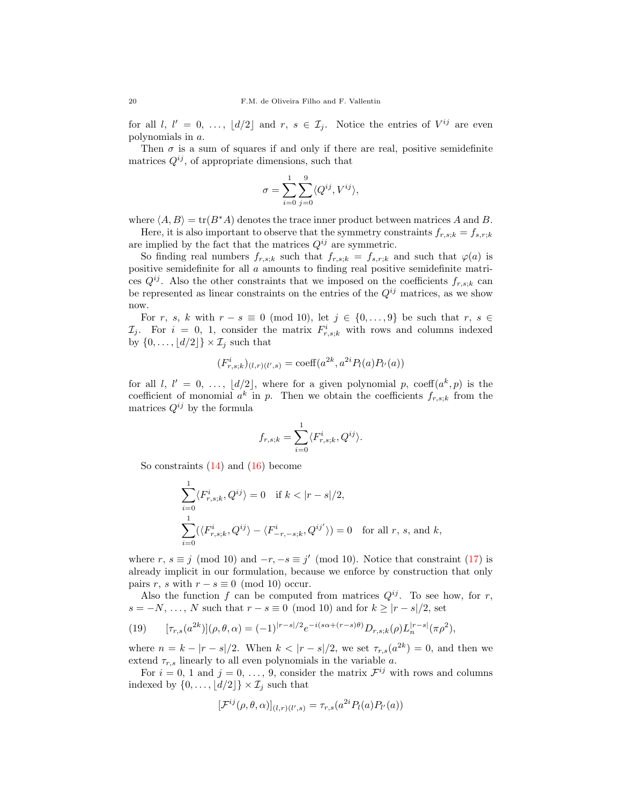for all l,  $l' = 0, \ldots, \lfloor d/2 \rfloor$  and  $r, s \in \mathcal{I}_j$ . Notice the entries of  $V^{ij}$  are even polynomials in a.

Then  $\sigma$  is a sum of squares if and only if there are real, positive semidefinite matrices  $Q^{ij}$ , of appropriate dimensions, such that

$$
\sigma = \sum_{i=0}^{1} \sum_{j=0}^{9} \langle Q^{ij}, V^{ij} \rangle,
$$

where  $\langle A, B \rangle = \text{tr}(B^*A)$  denotes the trace inner product between matrices A and B.

Here, it is also important to observe that the symmetry constraints  $f_{r,s;k} = f_{s,r;k}$ are implied by the fact that the matrices  $Q^{ij}$  are symmetric.

So finding real numbers  $f_{r,s;k}$  such that  $f_{r,s;k} = f_{s,r;k}$  and such that  $\varphi(a)$  is positive semidefinite for all a amounts to finding real positive semidefinite matrices  $Q^{ij}$ . Also the other constraints that we imposed on the coefficients  $f_{r,s;k}$  can be represented as linear constraints on the entries of the  $Q^{ij}$  matrices, as we show now.

For r, s, k with  $r - s \equiv 0 \pmod{10}$ , let  $j \in \{0, \ldots, 9\}$  be such that  $r, s \in$  $\mathcal{I}_j$ . For  $i = 0, 1$ , consider the matrix  $F^i_{r,s;k}$  with rows and columns indexed by  $\{0, \ldots, |d/2|\} \times \mathcal{I}_i$  such that

$$
(F^i_{r,s;k})_{(l,r)(l',s)} = \text{coeff}(a^{2k}, a^{2i}P_l(a)P_{l'}(a))
$$

for all l,  $l' = 0, \ldots, \lfloor d/2 \rfloor$ , where for a given polynomial p, coeff $(a^k, p)$  is the coefficient of monomial  $a^k$  in p. Then we obtain the coefficients  $f_{r,s;k}$  from the matrices  $Q^{ij}$  by the formula

$$
f_{r,s;k} = \sum_{i=0}^{1} \langle F_{r,s;k}^{i}, Q^{ij} \rangle.
$$

So constraints [\(14\)](#page-17-1) and [\(16\)](#page-17-2) become

$$
\sum_{i=0}^{1} \langle F_{r,s;k}^{i}, Q^{ij} \rangle = 0 \quad \text{if } k < |r - s|/2,
$$
  

$$
\sum_{i=0}^{1} (\langle F_{r,s;k}^{i}, Q^{ij} \rangle - \langle F_{-r,-s;k}^{i}, Q^{ij'} \rangle) = 0 \quad \text{for all } r, s, \text{ and } k,
$$

where  $r, s \equiv j \pmod{10}$  and  $-r, -s \equiv j' \pmod{10}$ . Notice that constraint [\(17\)](#page-17-3) is already implicit in our formulation, because we enforce by construction that only pairs r, s with  $r - s \equiv 0 \pmod{10}$  occur.

Also the function f can be computed from matrices  $Q^{ij}$ . To see how, for r,  $s = -N, \ldots, N$  such that  $r - s \equiv 0 \pmod{10}$  and for  $k \geq |r - s|/2$ , set

<span id="page-19-0"></span>(19) 
$$
[\tau_{r,s}(a^{2k})](\rho,\theta,\alpha) = (-1)^{|r-s|/2} e^{-i(s\alpha + (r-s)\theta)} D_{r,s;k}(\rho) L_n^{|r-s|}(\pi \rho^2),
$$

where  $n = k - |r - s|/2$ . When  $k < |r - s|/2$ , we set  $\tau_{r,s}(a^{2k}) = 0$ , and then we extend  $\tau_{r,s}$  linearly to all even polynomials in the variable a.

For  $i = 0, 1$  and  $j = 0, \ldots, 9$ , consider the matrix  $\mathcal{F}^{ij}$  with rows and columns indexed by  $\{0, \ldots, \lfloor d/2 \rfloor\} \times \mathcal{I}_j$  such that

$$
[\mathcal{F}^{ij}(\rho,\theta,\alpha)]_{(l,r)(l',s)} = \tau_{r,s}(a^{2i}P_l(a)P_{l'}(a))
$$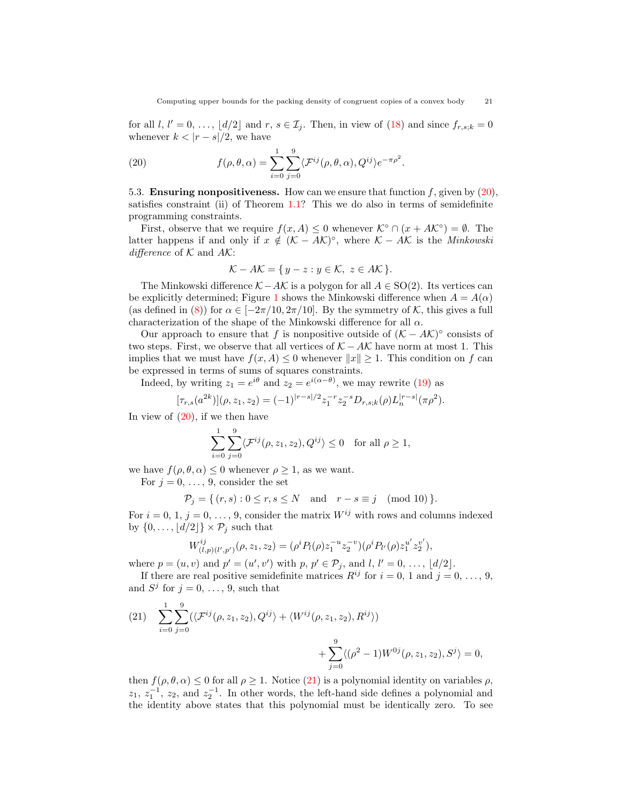for all  $l, l' = 0, \ldots, \lfloor d/2 \rfloor$  and  $r, s \in \mathcal{I}_j$ . Then, in view of [\(18\)](#page-18-0) and since  $f_{r,s,k} = 0$ whenever  $k < |r - s|/2$ , we have

<span id="page-20-0"></span>(20) 
$$
f(\rho,\theta,\alpha) = \sum_{i=0}^{1} \sum_{j=0}^{9} \langle \mathcal{F}^{ij}(\rho,\theta,\alpha), Q^{ij} \rangle e^{-\pi \rho^2}.
$$

5.3. **Ensuring nonpositiveness.** How can we ensure that function  $f$ , given by  $(20)$ , satisfies constraint (ii) of Theorem [1.1?](#page-3-0) This we do also in terms of semidefinite programming constraints.

First, observe that we require  $f(x, A) \leq 0$  whenever  $\mathcal{K}^{\circ} \cap (x + A\mathcal{K}^{\circ}) = \emptyset$ . The latter happens if and only if  $x \notin (K - AK)^{\circ}$ , where  $K - AK$  is the *Minkowski* difference of  $K$  and  $AK$ :

$$
\mathcal{K} - A\mathcal{K} = \{ y - z : y \in \mathcal{K}, z \in A\mathcal{K} \}.
$$

The Minkowski difference  $K - AK$  is a polygon for all  $A \in SO(2)$ . Its vertices can be explicitly determined; Figure [1](#page-21-0) shows the Minkowski difference when  $A = A(\alpha)$ (as defined in [\(8\)](#page-15-1)) for  $\alpha \in [-2\pi/10, 2\pi/10]$ . By the symmetry of K, this gives a full characterization of the shape of the Minkowski difference for all  $\alpha$ .

Our approach to ensure that f is nonpositive outside of  $(K - AK)^\circ$  consists of two steps. First, we observe that all vertices of  $K - AK$  have norm at most 1. This implies that we must have  $f(x, A) \leq 0$  whenever  $||x|| \geq 1$ . This condition on f can be expressed in terms of sums of squares constraints.

Indeed, by writing  $z_1 = e^{i\theta}$  and  $z_2 = e^{i(\alpha - \theta)}$ , we may rewrite [\(19\)](#page-19-0) as

$$
[\tau_{r,s}(a^{2k})](\rho, z_1, z_2) = (-1)^{|r-s|/2} z_1^{-r} z_2^{-s} D_{r,s,k}(\rho) L_n^{|r-s|}(\pi \rho^2).
$$

In view of  $(20)$ , if we then have

$$
\sum_{i=0}^{1} \sum_{j=0}^{9} \langle \mathcal{F}^{ij}(\rho, z_1, z_2), Q^{ij} \rangle \le 0 \quad \text{for all } \rho \ge 1,
$$

we have  $f(\rho, \theta, \alpha) \leq 0$  whenever  $\rho \geq 1$ , as we want.

For 
$$
j = 0, \ldots, 9
$$
, consider the set

$$
\mathcal{P}_j = \{ (r, s) : 0 \le r, s \le N \text{ and } r - s \equiv j \pmod{10} \}.
$$

For  $i = 0, 1, j = 0, \ldots, 9$ , consider the matrix  $W^{ij}$  with rows and columns indexed by  $\{0, \ldots, \lfloor d/2 \rfloor\} \times \mathcal{P}_j$  such that

$$
W^{ij}_{(l,p)(l',p')}(\rho,z_1,z_2)=(\rho^i P_l(\rho) z_1^{-u} z_2^{-v})(\rho^i P_{l'}(\rho) z_1^{u'} z_2^{v'}),
$$

where  $p = (u, v)$  and  $p' = (u', v')$  with  $p, p' \in \mathcal{P}_j$ , and  $l, l' = 0, ..., \lfloor d/2 \rfloor$ .

If there are real positive semidefinite matrices  $R^{ij}$  for  $i = 0, 1$  and  $j = 0, \ldots, 9$ , and  $S^j$  for  $j = 0, \ldots, 9$ , such that

<span id="page-20-1"></span>(21) 
$$
\sum_{i=0}^{1} \sum_{j=0}^{9} (\langle \mathcal{F}^{ij}(\rho, z_1, z_2), Q^{ij} \rangle + \langle W^{ij}(\rho, z_1, z_2), R^{ij} \rangle) + \sum_{j=0}^{9} \langle (\rho^2 - 1) W^{0j}(\rho, z_1, z_2), S^j \rangle = 0,
$$

then  $f(\rho, \theta, \alpha) \leq 0$  for all  $\rho \geq 1$ . Notice [\(21\)](#page-20-1) is a polynomial identity on variables  $\rho$ ,  $z_1, z_1^{-1}, z_2,$  and  $z_2^{-1}$ . In other words, the left-hand side defines a polynomial and the identity above states that this polynomial must be identically zero. To see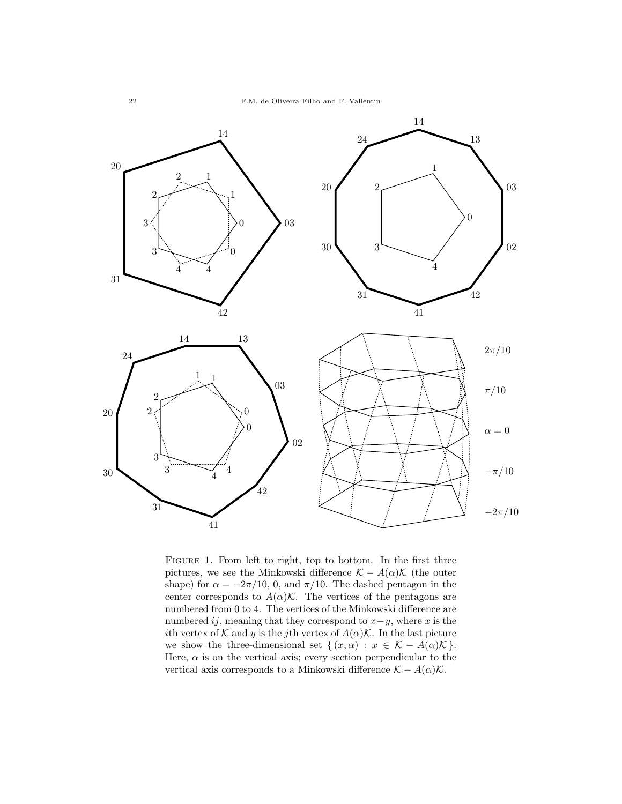

<span id="page-21-0"></span>FIGURE 1. From left to right, top to bottom. In the first three pictures, we see the Minkowski difference  $\mathcal{K} - A(\alpha)\mathcal{K}$  (the outer shape) for  $\alpha = -2\pi/10$ , 0, and  $\pi/10$ . The dashed pentagon in the center corresponds to  $A(\alpha)$ K. The vertices of the pentagons are numbered from 0 to 4. The vertices of the Minkowski difference are numbered ij, meaning that they correspond to  $x-y$ , where x is the ith vertex of K and y is the jth vertex of  $A(\alpha)$ K. In the last picture we show the three-dimensional set  $\{(x,\alpha): x \in \mathcal{K} - A(\alpha)\mathcal{K}\}.$ Here,  $\alpha$  is on the vertical axis; every section perpendicular to the vertical axis corresponds to a Minkowski difference  $K - A(\alpha)K$ .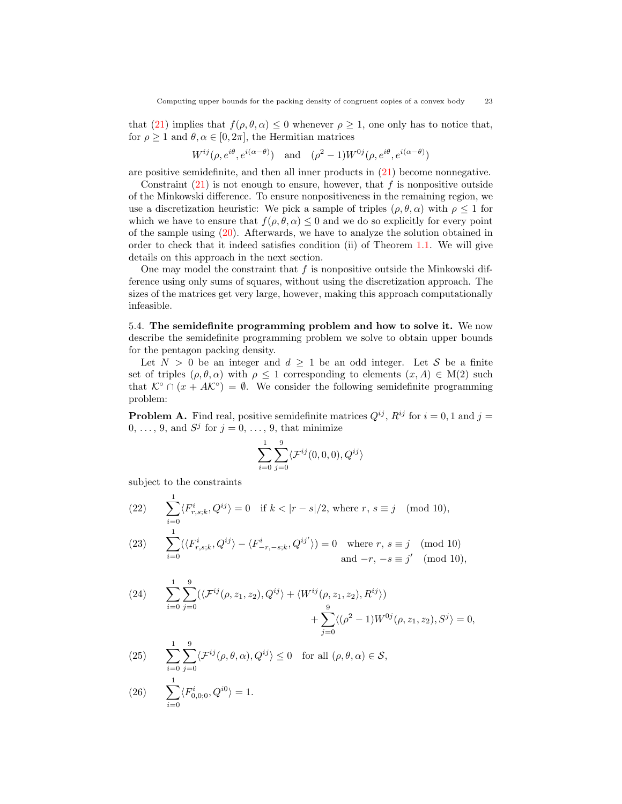that [\(21\)](#page-20-1) implies that  $f(\rho, \theta, \alpha) \leq 0$  whenever  $\rho \geq 1$ , one only has to notice that, for  $\rho \geq 1$  and  $\theta, \alpha \in [0, 2\pi]$ , the Hermitian matrices

$$
W^{ij}(\rho, e^{i\theta}, e^{i(\alpha - \theta)})
$$
 and  $(\rho^2 - 1)W^{0j}(\rho, e^{i\theta}, e^{i(\alpha - \theta)})$ 

are positive semidefinite, and then all inner products in [\(21\)](#page-20-1) become nonnegative.

Constraint  $(21)$  is not enough to ensure, however, that f is nonpositive outside of the Minkowski difference. To ensure nonpositiveness in the remaining region, we use a discretization heuristic: We pick a sample of triples  $(\rho, \theta, \alpha)$  with  $\rho \leq 1$  for which we have to ensure that  $f(\rho, \theta, \alpha) \leq 0$  and we do so explicitly for every point of the sample using [\(20\)](#page-20-0). Afterwards, we have to analyze the solution obtained in order to check that it indeed satisfies condition (ii) of Theorem [1.1.](#page-3-0) We will give details on this approach in the next section.

One may model the constraint that  $f$  is nonpositive outside the Minkowski difference using only sums of squares, without using the discretization approach. The sizes of the matrices get very large, however, making this approach computationally infeasible.

5.4. The semidefinite programming problem and how to solve it. We now describe the semidefinite programming problem we solve to obtain upper bounds for the pentagon packing density.

Let  $N > 0$  be an integer and  $d \geq 1$  be an odd integer. Let S be a finite set of triples  $(\rho, \theta, \alpha)$  with  $\rho \leq 1$  corresponding to elements  $(x, A) \in M(2)$  such that  $\mathcal{K}^{\circ} \cap (x + AK^{\circ}) = \emptyset$ . We consider the following semidefinite programming problem:

**Problem A.** Find real, positive semidefinite matrices  $Q^{ij}$ ,  $R^{ij}$  for  $i = 0, 1$  and  $j =$  $0, \ldots, 9$ , and  $S^j$  for  $j = 0, \ldots, 9$ , that minimize

$$
\sum_{i=0}^1\sum_{j=0}^9\langle\mathcal{F}^{ij}(0,0,0),Q^{ij}\rangle
$$

subject to the constraints

<span id="page-22-0"></span> $\sum_{}^1$ (22)  $\sum_{i=0} \langle F^i_{r,s;k}, Q^{ij} \rangle = 0$  if  $k < |r - s|/2$ , where  $r, s \equiv j \pmod{10}$ ,

<span id="page-22-4"></span>(23) 
$$
\sum_{i=0}^{1} (\langle F_{r,s;k}^{i}, Q^{ij} \rangle - \langle F_{-r,-s;k}^{i}, Q^{ij'} \rangle) = 0 \text{ where } r, s \equiv j \pmod{10}
$$
  
and  $-r, -s \equiv j' \pmod{10}$ ,

<span id="page-22-2"></span>(24) 
$$
\sum_{i=0}^{1} \sum_{j=0}^{9} (\langle \mathcal{F}^{ij}(\rho, z_1, z_2), Q^{ij} \rangle + \langle W^{ij}(\rho, z_1, z_2), R^{ij} \rangle) + \sum_{j=0}^{9} \langle (\rho^2 - 1) W^{0j}(\rho, z_1, z_2), S^j \rangle = 0,
$$

<span id="page-22-1"></span>(25) 
$$
\sum_{i=0}^{1} \sum_{j=0}^{9} \langle \mathcal{F}^{ij}(\rho, \theta, \alpha), Q^{ij} \rangle \le 0 \text{ for all } (\rho, \theta, \alpha) \in \mathcal{S},
$$
  
(26) 
$$
\sum_{i=0}^{1} \langle F_{0,0:0}^{i}, Q^{i0} \rangle = 1.
$$

<span id="page-22-3"></span>
$$
(26) \qquad \sum_{i=0}^{1}\langle F_{0,0;0}^{i},Q^{i0}\rangle =1.
$$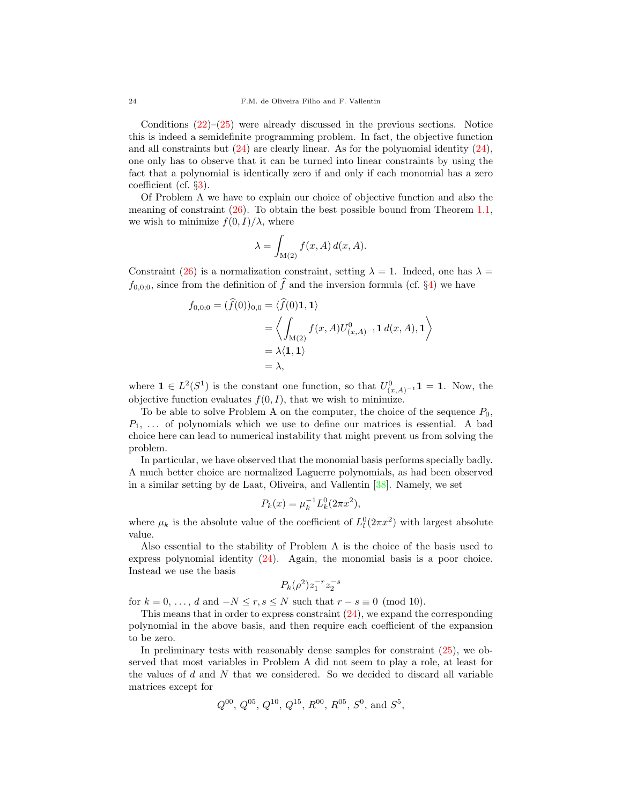Conditions  $(22)$ – $(25)$  were already discussed in the previous sections. Notice this is indeed a semidefinite programming problem. In fact, the objective function and all constraints but  $(24)$  are clearly linear. As for the polynomial identity  $(24)$ , one only has to observe that it can be turned into linear constraints by using the fact that a polynomial is identically zero if and only if each monomial has a zero coefficient (cf. §[3\)](#page-11-0).

Of Problem A we have to explain our choice of objective function and also the meaning of constraint  $(26)$ . To obtain the best possible bound from Theorem [1.1,](#page-3-0) we wish to minimize  $f(0, I)/\lambda$ , where

$$
\lambda = \int_{\mathcal{M}(2)} f(x, A) d(x, A).
$$

Constraint [\(26\)](#page-22-3) is a normalization constraint, setting  $\lambda = 1$ . Indeed, one has  $\lambda =$  $f_{0,0;0}$ , since from the definition of  $\widehat{f}$  and the inversion formula (cf. §[4\)](#page-12-0) we have

$$
f_{0,0;0} = (f(0))_{0,0} = \langle f(0)1, 1 \rangle
$$
  
=  $\left\langle \int_{M(2)} f(x, A) U_{(x,A)^{-1}}^0 \mathbf{1} d(x, A), 1 \right\rangle$   
=  $\lambda \langle 1, 1 \rangle$   
=  $\lambda$ ,

where  $\mathbf{1} \in L^2(S^1)$  is the constant one function, so that  $U^0_{(x,A)^{-1}}\mathbf{1} = \mathbf{1}$ . Now, the objective function evaluates  $f(0, I)$ , that we wish to minimize.

To be able to solve Problem A on the computer, the choice of the sequence  $P_0$ ,  $P_1, \ldots$  of polynomials which we use to define our matrices is essential. A bad choice here can lead to numerical instability that might prevent us from solving the problem.

In particular, we have observed that the monomial basis performs specially badly. A much better choice are normalized Laguerre polynomials, as had been observed in a similar setting by de Laat, Oliveira, and Vallentin [\[38\]](#page-28-8). Namely, we set

$$
P_k(x) = \mu_k^{-1} L_k^0(2\pi x^2),
$$

where  $\mu_k$  is the absolute value of the coefficient of  $L^0_l(2\pi x^2)$  with largest absolute value.

Also essential to the stability of Problem A is the choice of the basis used to express polynomial identity [\(24\)](#page-22-2). Again, the monomial basis is a poor choice. Instead we use the basis

$$
P_k(\rho^2) z_1^{-r} z_2^{-s}
$$

for  $k = 0, \ldots, d$  and  $-N \le r, s \le N$  such that  $r - s \equiv 0 \pmod{10}$ .

This means that in order to express constraint [\(24\)](#page-22-2), we expand the corresponding polynomial in the above basis, and then require each coefficient of the expansion to be zero.

In preliminary tests with reasonably dense samples for constraint [\(25\)](#page-22-1), we observed that most variables in Problem A did not seem to play a role, at least for the values of  $d$  and  $N$  that we considered. So we decided to discard all variable matrices except for

$$
Q^{00}
$$
,  $Q^{05}$ ,  $Q^{10}$ ,  $Q^{15}$ ,  $R^{00}$ ,  $R^{05}$ ,  $S^0$ , and  $S^5$ ,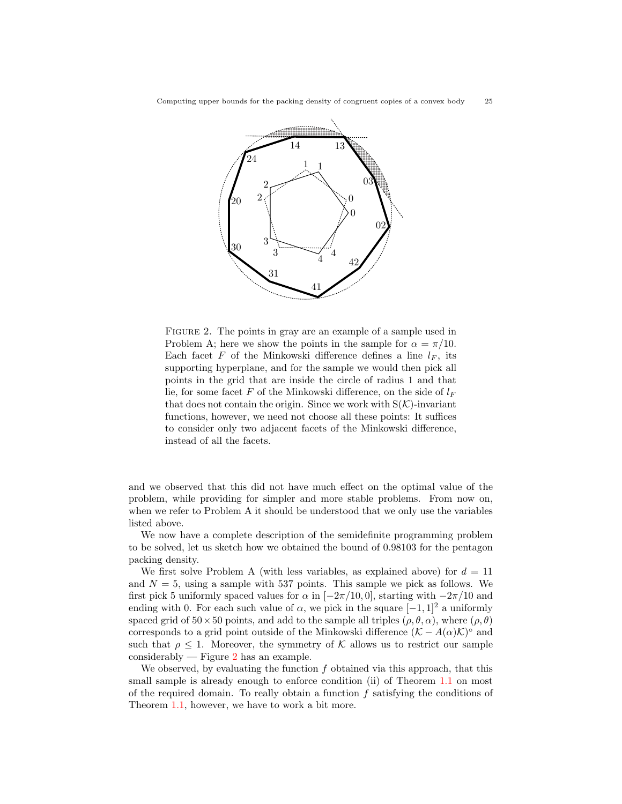

<span id="page-24-0"></span>FIGURE 2. The points in gray are an example of a sample used in Problem A; here we show the points in the sample for  $\alpha = \pi/10$ . Each facet  $F$  of the Minkowski difference defines a line  $l_F$ , its supporting hyperplane, and for the sample we would then pick all points in the grid that are inside the circle of radius 1 and that lie, for some facet F of the Minkowski difference, on the side of  $l_F$ that does not contain the origin. Since we work with  $S(\mathcal{K})$ -invariant functions, however, we need not choose all these points: It suffices to consider only two adjacent facets of the Minkowski difference, instead of all the facets.

and we observed that this did not have much effect on the optimal value of the problem, while providing for simpler and more stable problems. From now on, when we refer to Problem A it should be understood that we only use the variables listed above.

We now have a complete description of the semidefinite programming problem to be solved, let us sketch how we obtained the bound of 0.98103 for the pentagon packing density.

We first solve Problem A (with less variables, as explained above) for  $d = 11$ and  $N = 5$ , using a sample with 537 points. This sample we pick as follows. We first pick 5 uniformly spaced values for  $\alpha$  in [−2π/10,0], starting with  $-2\pi/10$  and ending with 0. For each such value of  $\alpha$ , we pick in the square  $[-1, 1]^2$  a uniformly spaced grid of  $50 \times 50$  points, and add to the sample all triples  $(\rho, \theta, \alpha)$ , where  $(\rho, \theta)$ corresponds to a grid point outside of the Minkowski difference  $(\mathcal{K} - A(\alpha)\mathcal{K})^{\circ}$  and such that  $\rho \leq 1$ . Moreover, the symmetry of K allows us to restrict our sample considerably — Figure  $2$  has an example.

We observed, by evaluating the function  $f$  obtained via this approach, that this small sample is already enough to enforce condition (ii) of Theorem [1.1](#page-3-0) on most of the required domain. To really obtain a function  $f$  satisfying the conditions of Theorem [1.1,](#page-3-0) however, we have to work a bit more.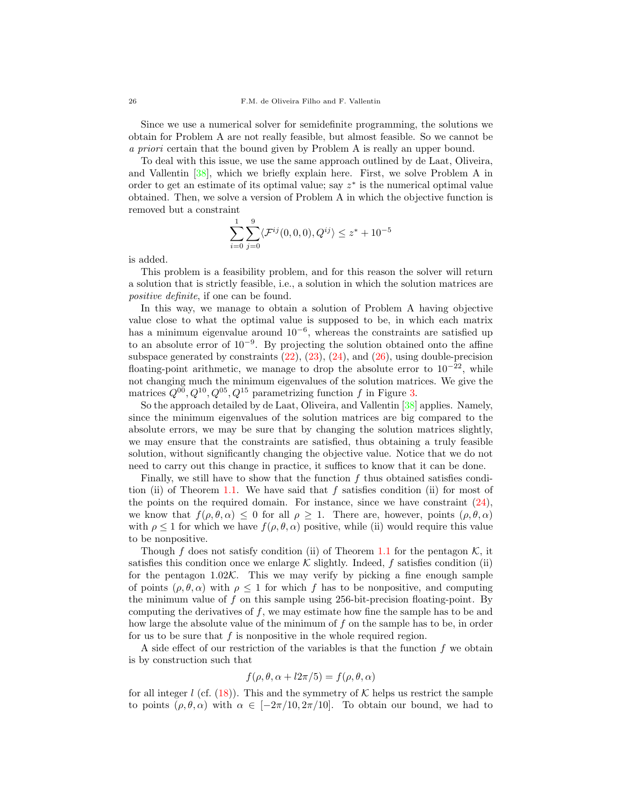Since we use a numerical solver for semidefinite programming, the solutions we obtain for Problem A are not really feasible, but almost feasible. So we cannot be a priori certain that the bound given by Problem A is really an upper bound.

To deal with this issue, we use the same approach outlined by de Laat, Oliveira, and Vallentin [\[38\]](#page-28-8), which we briefly explain here. First, we solve Problem A in order to get an estimate of its optimal value; say  $z^*$  is the numerical optimal value obtained. Then, we solve a version of Problem A in which the objective function is removed but a constraint

$$
\sum_{i=0}^{1} \sum_{j=0}^{9} \langle \mathcal{F}^{ij}(0,0,0), Q^{ij} \rangle \le z^* + 10^{-5}
$$

is added.

This problem is a feasibility problem, and for this reason the solver will return a solution that is strictly feasible, i.e., a solution in which the solution matrices are positive definite, if one can be found.

In this way, we manage to obtain a solution of Problem A having objective value close to what the optimal value is supposed to be, in which each matrix has a minimum eigenvalue around 10<sup>−</sup><sup>6</sup> , whereas the constraints are satisfied up to an absolute error of 10<sup>−</sup><sup>9</sup> . By projecting the solution obtained onto the affine subspace generated by constraints  $(22)$ ,  $(23)$ ,  $(24)$ , and  $(26)$ , using double-precision floating-point arithmetic, we manage to drop the absolute error to  $10^{-22}$ , while not changing much the minimum eigenvalues of the solution matrices. We give the matrices  $Q^{00}$ ,  $Q^{10}$ ,  $Q^{05}$ ,  $Q^{15}$  parametrizing function f in Figure [3.](#page-26-0)

So the approach detailed by de Laat, Oliveira, and Vallentin [\[38\]](#page-28-8) applies. Namely, since the minimum eigenvalues of the solution matrices are big compared to the absolute errors, we may be sure that by changing the solution matrices slightly, we may ensure that the constraints are satisfied, thus obtaining a truly feasible solution, without significantly changing the objective value. Notice that we do not need to carry out this change in practice, it suffices to know that it can be done.

Finally, we still have to show that the function  $f$  thus obtained satisfies condi-tion (ii) of Theorem [1.1.](#page-3-0) We have said that  $f$  satisfies condition (ii) for most of the points on the required domain. For instance, since we have constraint  $(24)$ , we know that  $f(\rho, \theta, \alpha) \leq 0$  for all  $\rho \geq 1$ . There are, however, points  $(\rho, \theta, \alpha)$ with  $\rho \leq 1$  for which we have  $f(\rho, \theta, \alpha)$  positive, while (ii) would require this value to be nonpositive.

Though f does not satisfy condition (ii) of Theorem [1.1](#page-3-0) for the pentagon  $K$ , it satisfies this condition once we enlarge  $K$  slightly. Indeed, f satisfies condition (ii) for the pentagon  $1.02\mathcal{K}$ . This we may verify by picking a fine enough sample of points  $(\rho, \theta, \alpha)$  with  $\rho \leq 1$  for which f has to be nonpositive, and computing the minimum value of  $f$  on this sample using 256-bit-precision floating-point. By computing the derivatives of  $f$ , we may estimate how fine the sample has to be and how large the absolute value of the minimum of  $f$  on the sample has to be, in order for us to be sure that  $f$  is nonpositive in the whole required region.

A side effect of our restriction of the variables is that the function  $f$  we obtain is by construction such that

$$
f(\rho, \theta, \alpha + l2\pi/5) = f(\rho, \theta, \alpha)
$$

for all integer l (cf. [\(18\)](#page-18-0)). This and the symmetry of  $K$  helps us restrict the sample to points  $(\rho, \theta, \alpha)$  with  $\alpha \in [-2\pi/10, 2\pi/10]$ . To obtain our bound, we had to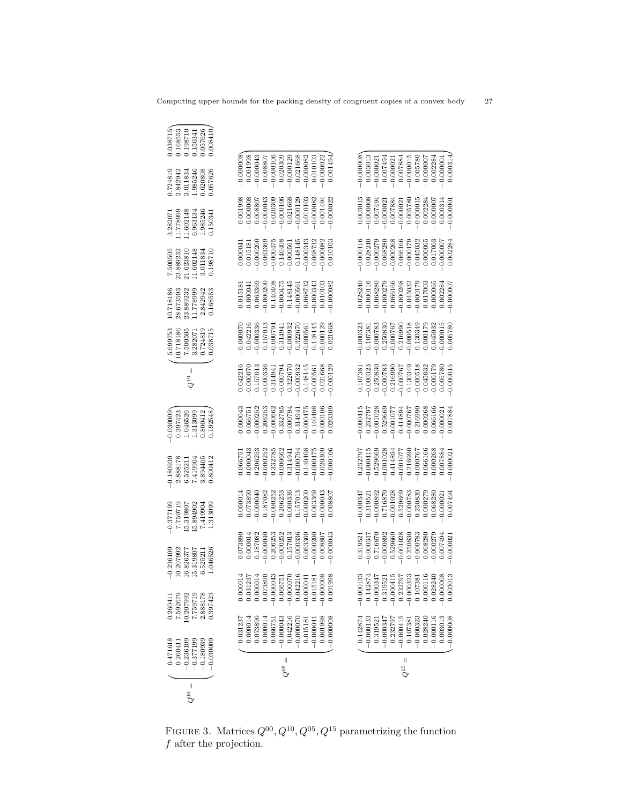| $\parallel$<br>eo<br>O | 0.471618<br>$-0.236109$<br>$-0.377199$<br>0.260411 |                     | 10.207992<br>7.759719<br>0.26041<br>7.59267                       | 10.207992<br>5.319807<br>$-0.236109$<br>16.826377 | 7.759719<br>5.894902<br>15.319807<br>$-0.377196$ | $-0.180939$<br>2.888178<br>F06615.7<br>6.52521 | $-0.030009$<br>046526<br>1.313099<br>0.397423 | $\parallel$<br>$Q^{10}$ | 5.699753<br>10.718186<br>7.500505<br>3.28207 | 10.718186<br>1.778999<br>28.673593<br>23.889232 | 7.500505<br>23.889232<br>21.623810<br>1.602148 | 11.602148<br>1.778999<br>6.963134<br>3.28207 | 0.724819<br>1.985246<br>2.842942<br>3.011834 | 0.038715<br>0.168553<br>0.198710<br>0.150341 |
|------------------------|----------------------------------------------------|---------------------|-------------------------------------------------------------------|---------------------------------------------------|--------------------------------------------------|------------------------------------------------|-----------------------------------------------|-------------------------|----------------------------------------------|-------------------------------------------------|------------------------------------------------|----------------------------------------------|----------------------------------------------|----------------------------------------------|
|                        | $-0.030009$<br>$-0.180939$                         |                     | 2.888178<br>0.397423                                              | 1.046526<br>6.525211                              | 1.313099<br>7.419904                             | 0.800412<br>3.894405                           | 0.192548<br>0.800412                          |                         | 0.724819<br>0.038715                         | 2.842942<br>0.168553                            | 0.198710<br>3.011834                           | 1.985246<br>0.15034                          | 0.620808<br>0.057626                         | 0.008410<br>0.057626                         |
|                        |                                                    |                     |                                                                   |                                                   |                                                  |                                                |                                               |                         |                                              |                                                 |                                                |                                              |                                              |                                              |
|                        |                                                    | 0.031237            | $\begin{array}{c} 0.000014 \\ 0.031237 \\ 0.00014 \end{array}$    | 0.07389                                           | 0.00001                                          | 0.06675                                        | $-0.000043$                                   | 0.042216                | $-0.00007$                                   | 0.01518                                         | $-0.00004$                                     | 0.001998                                     | $-0.000008$                                  |                                              |
|                        |                                                    | 0.000014            |                                                                   | 0.00001                                           | 0.073890                                         | 0.000043                                       | 0.06675                                       | 0.000070                | 0.042216                                     | $-0.00004$                                      | 0.01518                                        | $-0.000008$                                  | 0.001998                                     |                                              |
|                        |                                                    | 0.073890<br>0.00001 | 0.073890                                                          | $-0.000040$<br>0.187082                           | 0.187082<br>$-0.000040$                          | 0.000252<br>0.206253                           | $-0.000252$<br>0.206253                       | 0.000336<br>0.157013    | 0.157013<br>$-0.000336$                      | $-0.000200$<br>0.063369                         | $-0.000200$<br>0.063369                        | $-0.000043$<br>0.00880                       | $-0.000043$<br>0.08807                       |                                              |
|                        |                                                    | 0.06675             | $-0.000043$                                                       | 0.206253                                          | $-0.000252$                                      | 0.332785                                       | $-0.000662$                                   | 0.314941                | $-0.000794$                                  | 0.140408                                        | $-0.000475$                                    | 0.020309                                     | $-0.000106$                                  |                                              |
|                        |                                                    | $-0.000043$         |                                                                   | $-0.000252$                                       | 0.206253                                         | 0.000662                                       | 0.332785                                      | $-0.000794$             | 0.31494                                      | $-0.000475$                                     | 0.140408                                       | $-0.000106$                                  | 0.020309                                     |                                              |
|                        | II<br>೦ೆ                                           | 0.042216            | $-0.066751 - 0.000070$                                            | 0.157013                                          | $-0.000336$                                      | 0.314941                                       | $-0.000794$                                   | 0.322670                | $-0.000932$                                  | 0.148145                                        | $-0.000561$                                    | 0.021668                                     | $-0.000129$                                  |                                              |
|                        |                                                    | $-0.000070$         | 0.042216                                                          | 0.000336                                          | 0.157013                                         | 0.000794                                       | 0.314941                                      | 0.000932                | 0.322670                                     | $-0.000561$                                     | 0.148145                                       | $-0.000129$                                  | 0.021668                                     |                                              |
|                        |                                                    | 0.01518             | $-0.000041$                                                       | 0.063369                                          | $-0.000200$                                      | 0.140408                                       | $-0.000475$                                   | 0.148145                | $-0.00056$                                   | 0.068732                                        | $-0.000343$                                    | 0.010103                                     | $-0.000082$                                  |                                              |
|                        |                                                    | $-0.00004$          | 0.015181                                                          | 0.000200                                          | 0.063369                                         | 0.000475                                       | 0.140408                                      | 0.000561                | 0.148145                                     | 0.000343                                        | 0.068732                                       | $-0.000082$                                  | 0.010103                                     |                                              |
|                        |                                                    | 0.001998            | $-0.000008$                                                       | 0.08807                                           | 0.000043                                         | 0.020309                                       | 0.000106                                      | 0.021668                | $-0.000129$                                  | 0.010103                                        | 0.000082                                       | 0.001494                                     | $-0.000022$                                  |                                              |
|                        |                                                    | $-0.000008$         | 0.001998                                                          | $-0.000043$                                       | 0.008807                                         | 0.000106                                       | 0.020309                                      | $-0.000129$             | 0.021668                                     | $-0.000082$                                     | 0.010103                                       | $-0.000022$                                  | 0.001494                                     |                                              |
|                        |                                                    |                     |                                                                   |                                                   |                                                  |                                                |                                               |                         |                                              |                                                 |                                                |                                              |                                              |                                              |
|                        |                                                    | 0.14287             | $-0.000133$                                                       | 0.319521                                          | $-0.00034$                                       | 0.232797                                       | $-0.000415$                                   | 0.107381                | $-0.000325$                                  | 0.028240                                        | $-0.000116$                                    | 0.003013                                     | $-0.000008$                                  |                                              |
|                        |                                                    | $-0.000133$         | 0.142874                                                          | $-0.000347$                                       | 0.31952                                          | 0.000415                                       | 0.232797                                      | $-0.000325$             | 0.10738                                      | $-0.000116$                                     | 0.028240                                       | $-0.000008$                                  | 0.003013                                     |                                              |
|                        |                                                    | 0.31952             | $-0.000347$                                                       | 0.716870                                          | $-0.000892$                                      | 0.529669                                       | $-0.001028$                                   | 0.250830                | $-0.000783$                                  | 0.068280                                        | $-0.000279$                                    | 0.00749                                      | 0.000021                                     |                                              |
|                        |                                                    | $-0.000347$         | $0.319521$<br>-0.000415                                           | $-0.000892$                                       | 0.716870                                         | 0.001028                                       | 0.529669                                      | $-0.000783$             | 0.250830                                     | $-0.000279$                                     | 0.068280                                       | $-0.00002$                                   | 0.007494                                     |                                              |
|                        |                                                    | 0.232797            |                                                                   | 0.529669                                          | $-0.001028$                                      | 0.414894                                       | $-0.001077$                                   | 0.216990                | $-0.000767$                                  | 0.066166                                        | $-0.000268$                                    | 0.00788                                      | $-0.000021$                                  |                                              |
|                        | $Q^{15} =$                                         | $-0.000415$         | 0.232797                                                          | $-0.001028$                                       | 0.529669                                         | 0.001077                                       | 0.414894                                      | $-0.000767$             | 0.216990                                     | $-0.000268$                                     | 0.066166                                       | $-0.000021$                                  | 0.007884                                     |                                              |
|                        |                                                    | 0.10738             | $\begin{array}{r} -0.000323 \\ 0.107381 \\ -0.000116 \end{array}$ | 0.250830                                          | $-0.000783$                                      | 0.216990                                       | $-0.000767$                                   | 0.130349                | $-0.000518$                                  | 0.045032                                        | $-0.000179$                                    | 0.005780                                     | $-0.000015$                                  |                                              |
|                        |                                                    | $-0.000323$         |                                                                   | 0.000783                                          | 0.250830                                         | 0.000767                                       | 0.216990                                      | $-0.000518$             | 0.130349                                     | $-0.000179$                                     | 0.045032                                       | $-0.000015$                                  | 0.005780                                     |                                              |
|                        |                                                    | 0.028240            |                                                                   | 0.068280                                          | $-0.000279$                                      | 0.066166                                       | $-0.000268$                                   | 0.045032                | $-0.000179$                                  | 0.017003                                        | 0.000065                                       | 0.002284                                     | $-0.000007$                                  |                                              |
|                        |                                                    | $-0.000116$         | 0.028240                                                          | 0.000279                                          | 0.068280                                         | 0.000268                                       | 0.066166                                      | 0.000179                | 0.045032                                     | 0.000065                                        | 0.017003                                       | $-0.000007$                                  | 0.002284                                     |                                              |
|                        |                                                    | 0.003013            | 0.000008                                                          | 0.007494                                          | 0.00002                                          | 0.007884                                       | 0.000021                                      | 0.005780                | $-0.000015$                                  | 0.002284                                        | 0.00007                                        | 0.000314                                     | $-0.000001$                                  |                                              |
|                        |                                                    | $-0.000008$         | 0.003013                                                          | $-0.000021$                                       | 0.007494                                         | $-0.00002$                                     | 0.007884                                      | $-0.000015$             | 0.005780                                     | $-0.000007$                                     | 0.002284                                       | $-0.000001$                                  | 0.000314                                     |                                              |

<span id="page-26-0"></span>FIGURE 3. Matrices  $Q^{00}$ ,  $Q^{10}$ ,  $Q^{05}$ ,  $Q^{15}$  parametrizing the function f after the projection.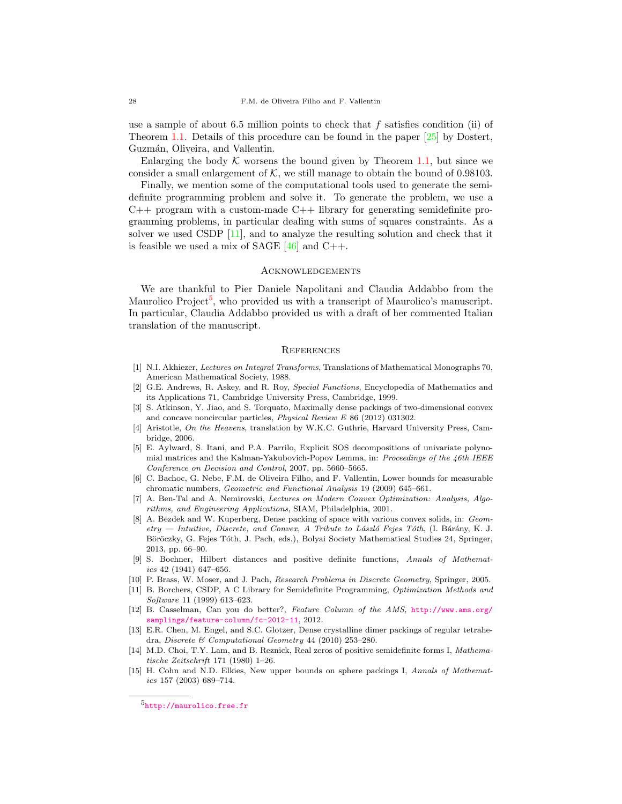use a sample of about 6.5 million points to check that  $f$  satisfies condition (ii) of Theorem [1.1.](#page-3-0) Details of this procedure can be found in the paper [\[25\]](#page-28-24) by Dostert, Guzmán, Oliveira, and Vallentin.

Enlarging the body  $K$  worsens the bound given by Theorem [1.1,](#page-3-0) but since we consider a small enlargement of  $K$ , we still manage to obtain the bound of 0.98103.

Finally, we mention some of the computational tools used to generate the semidefinite programming problem and solve it. To generate the problem, we use a  $C_{++}$  program with a custom-made  $C_{++}$  library for generating semidefinite programming problems, in particular dealing with sums of squares constraints. As a solver we used CSDP [\[11\]](#page-27-14), and to analyze the resulting solution and check that it is feasible we used a mix of SAGE  $[46]$  and C++.

#### **ACKNOWLEDGEMENTS**

We are thankful to Pier Daniele Napolitani and Claudia Addabbo from the Maurolico Project<sup>[5](#page-27-15)</sup>, who provided us with a transcript of Maurolico's manuscript. In particular, Claudia Addabbo provided us with a draft of her commented Italian translation of the manuscript.

### **REFERENCES**

- <span id="page-27-11"></span>[1] N.I. Akhiezer, Lectures on Integral Transforms, Translations of Mathematical Monographs 70, American Mathematical Society, 1988.
- <span id="page-27-10"></span>[2] G.E. Andrews, R. Askey, and R. Roy, Special Functions, Encyclopedia of Mathematics and its Applications 71, Cambridge University Press, Cambridge, 1999.
- <span id="page-27-6"></span>[3] S. Atkinson, Y. Jiao, and S. Torquato, Maximally dense packings of two-dimensional convex and concave noncircular particles, Physical Review E 86 (2012) 031302.
- <span id="page-27-3"></span>[4] Aristotle, On the Heavens, translation by W.K.C. Guthrie, Harvard University Press, Cambridge, 2006.
- <span id="page-27-13"></span>[5] E. Aylward, S. Itani, and P.A. Parrilo, Explicit SOS decompositions of univariate polynomial matrices and the Kalman-Yakubovich-Popov Lemma, in: Proceedings of the 46th IEEE Conference on Decision and Control, 2007, pp. 5660–5665.
- <span id="page-27-7"></span>[6] C. Bachoc, G. Nebe, F.M. de Oliveira Filho, and F. Vallentin, Lower bounds for measurable chromatic numbers, Geometric and Functional Analysis 19 (2009) 645–661.
- <span id="page-27-9"></span>[7] A. Ben-Tal and A. Nemirovski, Lectures on Modern Convex Optimization: Analysis, Algorithms, and Engineering Applications, SIAM, Philadelphia, 2001.
- <span id="page-27-1"></span>[8] A. Bezdek and W. Kuperberg, Dense packing of space with various convex solids, in: Geometry — Intuitive, Discrete, and Convex, A Tribute to László Fejes Tóth, (I. Bárány, K. J. Böröczky, G. Fejes Tóth, J. Pach, eds.), Bolyai Society Mathematical Studies 24, Springer, 2013, pp. 66–90.
- <span id="page-27-8"></span>[9] S. Bochner, Hilbert distances and positive definite functions, Annals of Mathematics 42 (1941) 647–656.
- <span id="page-27-0"></span>[10] P. Brass, W. Moser, and J. Pach, Research Problems in Discrete Geometry, Springer, 2005.
- <span id="page-27-14"></span>[11] B. Borchers, CSDP, A C Library for Semidefinite Programming, Optimization Methods and Software 11 (1999) 613–623.
- <span id="page-27-5"></span>[12] B. Casselman, Can you do better?, Feature Column of the AMS, [http://www.ams.org/](http://www.ams.org/samplings/feature-column/fc-2012-11) [samplings/feature-column/fc-2012-11](http://www.ams.org/samplings/feature-column/fc-2012-11), 2012.
- <span id="page-27-4"></span>[13] E.R. Chen, M. Engel, and S.C. Glotzer, Dense crystalline dimer packings of regular tetrahedra, Discrete & Computational Geometry 44 (2010) 253–280.
- <span id="page-27-12"></span>[14] M.D. Choi, T.Y. Lam, and B. Reznick, Real zeros of positive semidefinite forms I, Mathematische Zeitschrift 171 (1980) 1–26.
- <span id="page-27-2"></span>[15] H. Cohn and N.D. Elkies, New upper bounds on sphere packings I, Annals of Mathematics 157 (2003) 689–714.

<span id="page-27-15"></span><sup>5</sup><http://maurolico.free.fr>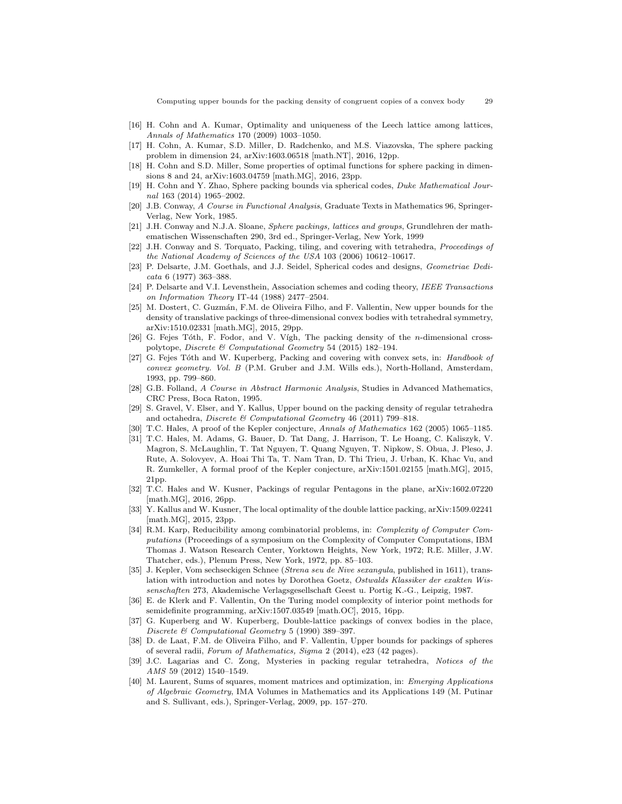Computing upper bounds for the packing density of congruent copies of a convex body 29

- <span id="page-28-5"></span>[16] H. Cohn and A. Kumar, Optimality and uniqueness of the Leech lattice among lattices, Annals of Mathematics 170 (2009) 1003–1050.
- <span id="page-28-7"></span>[17] H. Cohn, A. Kumar, S.D. Miller, D. Radchenko, and M.S. Viazovska, The sphere packing problem in dimension 24, arXiv:1603.06518 [math.NT], 2016, 12pp.
- <span id="page-28-6"></span>[18] H. Cohn and S.D. Miller, Some properties of optimal functions for sphere packing in dimensions 8 and 24, arXiv:1603.04759 [math.MG], 2016, 23pp.
- <span id="page-28-13"></span>[19] H. Cohn and Y. Zhao, Sphere packing bounds via spherical codes, Duke Mathematical Journal 163 (2014) 1965–2002.
- <span id="page-28-19"></span>[20] J.B. Conway, A Course in Functional Analysis, Graduate Texts in Mathematics 96, Springer-Verlag, New York, 1985.
- <span id="page-28-0"></span>[21] J.H. Conway and N.J.A. Sloane, Sphere packings, lattices and groups, Grundlehren der mathematischen Wissenschaften 290, 3rd ed., Springer-Verlag, New York, 1999
- <span id="page-28-10"></span>[22] J.H. Conway and S. Torquato, Packing, tiling, and covering with tetrahedra, Proceedings of the National Academy of Sciences of the USA 103 (2006) 10612–10617.
- <span id="page-28-20"></span>[23] P. Delsarte, J.M. Goethals, and J.J. Seidel, Spherical codes and designs, Geometriae Dedicata 6 (1977) 363–388.
- <span id="page-28-17"></span>[24] P. Delsarte and V.I. Levensthein, Association schemes and coding theory, IEEE Transactions on Information Theory IT-44 (1988) 2477–2504.
- <span id="page-28-24"></span>[25] M. Dostert, C. Guzmán, F.M. de Oliveira Filho, and F. Vallentin, New upper bounds for the density of translative packings of three-dimensional convex bodies with tetrahedral symmetry, arXiv:1510.02331 [math.MG], 2015, 29pp.
- <span id="page-28-12"></span>[26] G. Fejes Tóth, F. Fodor, and V. Vígh, The packing density of the *n*-dimensional crosspolytope, Discrete & Computational Geometry 54 (2015) 182–194.
- <span id="page-28-1"></span>[27] G. Fejes Tóth and W. Kuperberg, Packing and covering with convex sets, in: Handbook of convex geometry. Vol. B (P.M. Gruber and J.M. Wills eds.), North-Holland, Amsterdam, 1993, pp. 799–860.
- <span id="page-28-21"></span>[28] G.B. Folland, A Course in Abstract Harmonic Analysis, Studies in Advanced Mathematics, CRC Press, Boca Raton, 1995.
- <span id="page-28-11"></span>[29] S. Gravel, V. Elser, and Y. Kallus, Upper bound on the packing density of regular tetrahedra and octahedra, Discrete & Computational Geometry 46 (2011) 799–818.
- <span id="page-28-3"></span>[30] T.C. Hales, A proof of the Kepler conjecture, Annals of Mathematics 162 (2005) 1065–1185.
- <span id="page-28-4"></span>[31] T.C. Hales, M. Adams, G. Bauer, D. Tat Dang, J. Harrison, T. Le Hoang, C. Kaliszyk, V. Magron, S. McLaughlin, T. Tat Nguyen, T. Quang Nguyen, T. Nipkow, S. Obua, J. Pleso, J. Rute, A. Solovyev, A. Hoai Thi Ta, T. Nam Tran, D. Thi Trieu, J. Urban, K. Khac Vu, and R. Zumkeller, A formal proof of the Kepler conjecture, arXiv:1501.02155 [math.MG], 2015, 21pp.
- <span id="page-28-16"></span>[32] T.C. Hales and W. Kusner, Packings of regular Pentagons in the plane, arXiv:1602.07220 [math.MG], 2016, 26pp.
- <span id="page-28-15"></span>[33] Y. Kallus and W. Kusner, The local optimality of the double lattice packing, arXiv:1509.02241 [math.MG], 2015, 23pp.
- <span id="page-28-18"></span>[34] R.M. Karp, Reducibility among combinatorial problems, in: Complexity of Computer Computations (Proceedings of a symposium on the Complexity of Computer Computations, IBM Thomas J. Watson Research Center, Yorktown Heights, New York, 1972; R.E. Miller, J.W. Thatcher, eds.), Plenum Press, New York, 1972, pp. 85–103.
- <span id="page-28-2"></span>[35] J. Kepler, Vom sechseckigen Schnee (Strena seu de Nive sexangula, published in 1611), translation with introduction and notes by Dorothea Goetz, Ostwalds Klassiker der exakten Wissenschaften 273, Akademische Verlagsgesellschaft Geest u. Portig K.-G., Leipzig, 1987.
- <span id="page-28-22"></span>[36] E. de Klerk and F. Vallentin, On the Turing model complexity of interior point methods for semidefinite programming, arXiv:1507.03549 [math.OC], 2015, 16pp.
- <span id="page-28-14"></span>[37] G. Kuperberg and W. Kuperberg, Double-lattice packings of convex bodies in the place, Discrete & Computational Geometry 5 (1990) 389–397.
- <span id="page-28-8"></span>[38] D. de Laat, F.M. de Oliveira Filho, and F. Vallentin, Upper bounds for packings of spheres of several radii, Forum of Mathematics, Sigma 2 (2014), e23 (42 pages).
- <span id="page-28-9"></span>[39] J.C. Lagarias and C. Zong, Mysteries in packing regular tetrahedra, Notices of the AMS 59 (2012) 1540–1549.
- <span id="page-28-23"></span>[40] M. Laurent, Sums of squares, moment matrices and optimization, in: Emerging Applications of Algebraic Geometry, IMA Volumes in Mathematics and its Applications 149 (M. Putinar and S. Sullivant, eds.), Springer-Verlag, 2009, pp. 157–270.